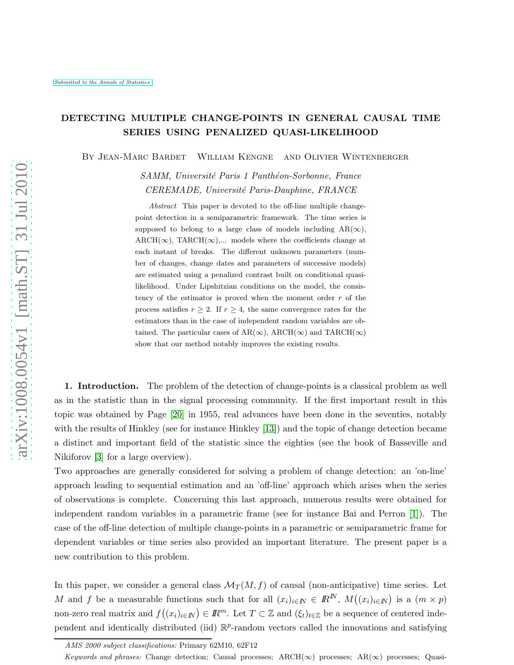# DETECTING MULTIPLE CHANGE-POINTS IN GENERAL CAUSAL TIME SERIES USING PENALIZED QUASI-LIKELIHOOD

By Jean-Marc Bardet William Kengne and Olivier Wintenberger

*SAMM, Universit´e Paris 1 Panth´eon-Sorbonne, France CEREMADE, Universit´e Paris-Dauphine, FRANCE*

*Abstract* This paper is devoted to the off-line multiple changepoint detection in a semiparametric framework. The time series is supposed to belong to a large class of models including  $AR(\infty)$ ,  $\text{ARCH}(\infty)$ , TARCH( $\infty$ ),... models where the coefficients change at each instant of breaks. The different unknown parameters (number of changes, change dates and parameters of successive models) are estimated using a penalized contrast built on conditional quasilikelihood. Under Lipshitzian conditions on the model, the consistency of the estimator is proved when the moment order r of the process satisfies  $r \geq 2$ . If  $r \geq 4$ , the same convergence rates for the estimators than in the case of independent random variables are obtained. The particular cases of  $AR(\infty)$ ,  $ARCH(\infty)$  and  $TARCH(\infty)$ show that our method notably improves the existing results.

1. Introduction. The problem of the detection of change-points is a classical problem as well as in the statistic than in the signal processing community. If the first important result in this topic was obtained by Page [\[20\]](#page-24-0) in 1955, real advances have been done in the seventies, notably with the results of Hinkley (see for instance Hinkley [\[13\]](#page-24-1)) and the topic of change detection became a distinct and important field of the statistic since the eighties (see the book of Basseville and Nikiforov [\[3\]](#page-23-0) for a large overview).

Two approaches are generally considered for solving a problem of change detection: an 'on-line' approach leading to sequential estimation and an 'off-line' approach which arises when the series of observations is complete. Concerning this last approach, numerous results were obtained for independent random variables in a parametric frame (see for instance Bai and Perron [\[1\]](#page-23-1)). The case of the off-line detection of multiple change-points in a parametric or semiparametric frame for dependent variables or time series also provided an important literature. The present paper is a new contribution to this problem.

In this paper, we consider a general class  $\mathcal{M}_T(M, f)$  of causal (non-anticipative) time series. Let M and f be a measurable functions such that for all  $(x_i)_{i\in\mathbb{N}} \in \mathbb{R}^N$ ,  $M((x_i)_{i\in\mathbb{N}})$  is a  $(m \times p)$ non-zero real matrix and  $f((x_i)_{i\in\mathbb{N}}) \in \mathbb{R}^m$ . Let  $T \subset \mathbb{Z}$  and  $(\xi_t)_{t\in\mathbb{Z}}$  be a sequence of centered independent and identically distributed (iid)  $\mathbb{R}^p$ -random vectors called the innovations and satisfying

*AMS 2000 subject classifications:* Primary 62M10, 62F12

*Keywords and phrases:* Change detection; Causal processes; ARCH(∞) processes; AR(∞) processes; Quasi-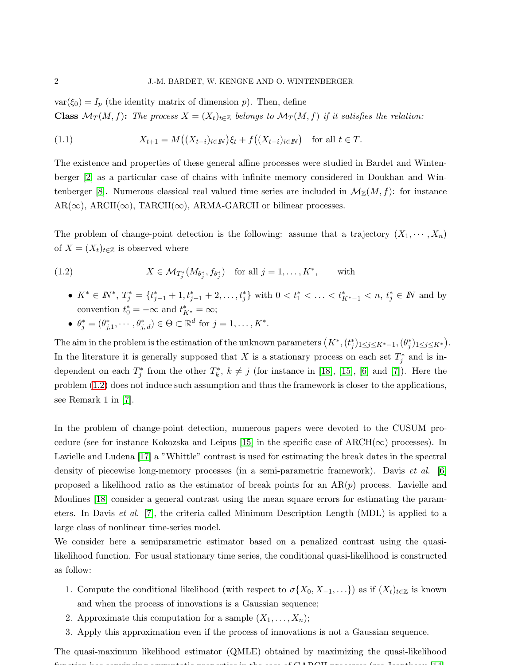$var(\xi_0) = I_p$  (the identity matrix of dimension p). Then, define **Class**  $\mathcal{M}_T(M, f)$ : *The process*  $X = (X_t)_{t \in \mathbb{Z}}$  *belongs to*  $\mathcal{M}_T(M, f)$  *if it satisfies the relation:* 

(1.1) 
$$
X_{t+1} = M((X_{t-i})_{i \in I\!\!N})\xi_t + f((X_{t-i})_{i \in I\!\!N}) \text{ for all } t \in T.
$$

The existence and properties of these general affine processes were studied in Bardet and Wintenberger [\[2\]](#page-23-2) as a particular case of chains with infinite memory considered in Doukhan and Win-tenberger [\[8\]](#page-24-2). Numerous classical real valued time series are included in  $\mathcal{M}_{\mathbb{Z}}(M, f)$ : for instance  $AR(\infty)$ ,  $ARCH(\infty)$ ,  $TARCH(\infty)$ ,  $ARMA-GARCH$  or bilinear processes.

The problem of change-point detection is the following: assume that a trajectory  $(X_1, \dots, X_n)$ of  $X = (X_t)_{t \in \mathbb{Z}}$  is observed where

(1.2) 
$$
X \in \mathcal{M}_{T_j^*}(M_{\theta_j^*}, f_{\theta_j^*}) \text{ for all } j = 1, ..., K^*, \text{ with}
$$

<span id="page-1-0"></span>•  $K^* \in \mathbb{N}^*, T_j^* = \{t_{j-1}^* + 1, t_{j-1}^* + 2, \ldots, t_j^*\}$  with  $0 < t_1^* < \ldots < t_{K^*-1}^* < n, t_j^* \in \mathbb{N}$  and by convention  $t_0^* = -\infty$  and  $t_{K^*}^* = \infty$ ;

• 
$$
\theta_j^* = (\theta_{j,1}^*, \cdots, \theta_{j,d}^*) \in \Theta \subset \mathbb{R}^d
$$
 for  $j = 1, \ldots, K^*$ .

The aim in the problem is the estimation of the unknown parameters  $(K^*, (t_j^*)_{1 \leq j \leq K^*-1}, (\theta_j^*)_{1 \leq j \leq K^*})$ . In the literature it is generally supposed that X is a stationary process on each set  $T_j^*$  and is independent on each  $T_j^*$  from the other  $T_k^*, k \neq j$  (for instance in [\[18\]](#page-24-3), [\[15\]](#page-24-4), [\[6\]](#page-23-3) and [\[7\]](#page-23-4)). Here the problem [\(1.2\)](#page-1-0) does not induce such assumption and thus the framework is closer to the applications, see Remark 1 in [\[7\]](#page-23-4).

In the problem of change-point detection, numerous papers were devoted to the CUSUM pro-cedure (see for instance Kokozska and Leipus [\[15\]](#page-24-4) in the specific case of  $\text{ARCH}(\infty)$  processes). In Lavielle and Ludena [\[17\]](#page-24-5) a "Whittle" contrast is used for estimating the break dates in the spectral density of piecewise long-memory processes (in a semi-parametric framework). Davis *et al.* [\[6\]](#page-23-3) proposed a likelihood ratio as the estimator of break points for an  $AR(p)$  process. Lavielle and Moulines [\[18\]](#page-24-3) consider a general contrast using the mean square errors for estimating the parameters. In Davis *et al.* [\[7\]](#page-23-4), the criteria called Minimum Description Length (MDL) is applied to a large class of nonlinear time-series model.

We consider here a semiparametric estimator based on a penalized contrast using the quasilikelihood function. For usual stationary time series, the conditional quasi-likelihood is constructed as follow:

- 1. Compute the conditional likelihood (with respect to  $\sigma\{X_0, X_{-1}, \ldots\}$ ) as if  $(X_t)_{t \in \mathbb{Z}}$  is known and when the process of innovations is a Gaussian sequence;
- 2. Approximate this computation for a sample  $(X_1, \ldots, X_n);$
- 3. Apply this approximation even if the process of innovations is not a Gaussian sequence.

The quasi-maximum likelihood estimator (QMLE) obtained by maximizing the quasi-likelihood  $f_{\text{max}}$  is a convincing asymptotic properties in the case of  $G$  ARCH processes (see Jeantheau [\[14\]](#page-24-6),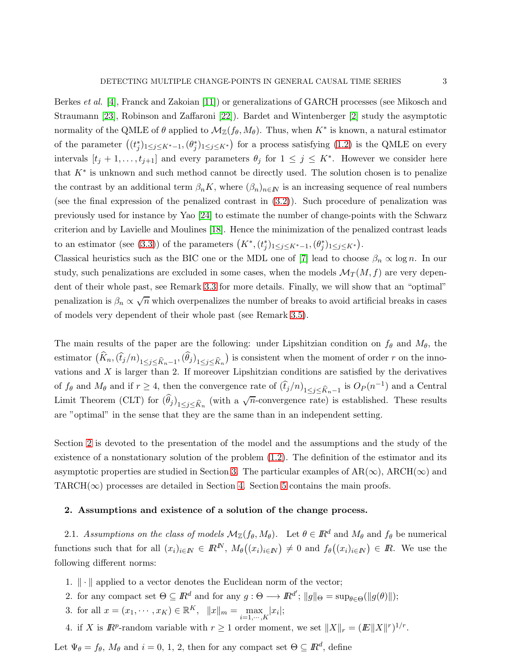Berkes *et al.* [\[4\]](#page-23-5), Franck and Zakoian [\[11\]](#page-24-7)) or generalizations of GARCH processes (see Mikosch and Straumann [\[23\]](#page-24-8), Robinson and Zaffaroni [\[22\]](#page-24-9)). Bardet and Wintenberger [\[2\]](#page-23-2) study the asymptotic normality of the QMLE of  $\theta$  applied to  $\mathcal{M}_{\mathbb{Z}}(f_{\theta}, M_{\theta})$ . Thus, when  $K^*$  is known, a natural estimator of the parameter  $((t_j^*)_{1 \leq j \leq K^*-1},(\theta_j^*)_{1 \leq j \leq K^*})$  for a process satisfying  $(1.2)$  is the QMLE on every intervals  $[t_j + 1, \ldots, t_{j+1}]$  and every parameters  $\theta_j$  for  $1 \leq j \leq K^*$ . However we consider here that  $K^*$  is unknown and such method cannot be directly used. The solution chosen is to penalize the contrast by an additional term  $\beta_n K$ , where  $(\beta_n)_{n \in \mathbb{N}}$  is an increasing sequence of real numbers (see the final expression of the penalized contrast in [\(3.2\)](#page-5-0)). Such procedure of penalization was previously used for instance by Yao [\[24\]](#page-24-10) to estimate the number of change-points with the Schwarz criterion and by Lavielle and Moulines [\[18\]](#page-24-3). Hence the minimization of the penalized contrast leads to an estimator (see [\(3.3\)](#page-5-1)) of the parameters  $(K^*, (t_j^*)_{1 \leq j \leq K^*-1}, (\theta_j^*)_{1 \leq j \leq K^*})$ .

Classical heuristics such as the BIC one or the MDL one of [\[7\]](#page-23-4) lead to choose  $\beta_n \propto \log n$ . In our study, such penalizations are excluded in some cases, when the models  $\mathcal{M}_T(M, f)$  are very dependent of their whole past, see Remark [3.3](#page-6-0) for more details. Finally, we will show that an "optimal" penalization is  $\beta_n \propto \sqrt{n}$  which overpenalizes the number of breaks to avoid artificial breaks in cases of models very dependent of their whole past (see Remark [3.5\)](#page-7-0).

The main results of the paper are the following: under Lipshitzian condition on  $f_{\theta}$  and  $M_{\theta}$ , the estimator  $(\widehat{K}_n, (\widehat{t}_j/n)_{1 \leq j \leq \widehat{K}_n-1}, (\widehat{\theta}_j)_{1 \leq j \leq \widehat{K}_n})$  is consistent when the moment of order r on the innovations and  $X$  is larger than 2. If moreover Lipshitzian conditions are satisfied by the derivatives of  $f_{\theta}$  and  $M_{\theta}$  and if  $r \geq 4$ , then the convergence rate of  $(\widehat{t}_j/n)_{1 \leq j \leq \widehat{K}_n-1}$  is  $O_P(n^{-1})$  and a Central Limit Theorem (CLT) for  $(\widehat{\theta}_j)_{1 \leq j \leq \widehat{K}_n}$  (with a  $\sqrt{n}$ -convergence rate) is established. These results are "optimal" in the sense that they are the same than in an independent setting.

Section [2](#page-2-0) is devoted to the presentation of the model and the assumptions and the study of the existence of a nonstationary solution of the problem [\(1.2\)](#page-1-0). The definition of the estimator and its asymptotic properties are studied in Section [3.](#page-4-0) The particular examples of  $AR(\infty)$ ,  $ARCH(\infty)$  and TARCH( $\infty$ ) processes are detailed in Section [4.](#page-8-0) Section [5](#page-10-0) contains the main proofs.

#### <span id="page-2-0"></span>2. Assumptions and existence of a solution of the change process.

2.1. *Assumptions on the class of models*  $M_{\mathbb{Z}}(f_{\theta}, M_{\theta})$ . Let  $\theta \in \mathbb{R}^d$  and  $M_{\theta}$  and  $f_{\theta}$  be numerical functions such that for all  $(x_i)_{i\in\mathbb{N}} \in \mathbb{R}^N$ ,  $M_\theta((x_i)_{i\in\mathbb{N}}) \neq 0$  and  $f_\theta((x_i)_{i\in\mathbb{N}}) \in \mathbb{R}$ . We use the following different norms:

- 1.  $\|\cdot\|$  applied to a vector denotes the Euclidean norm of the vector;
- 2. for any compact set  $\Theta \subseteq \mathbb{R}^d$  and for any  $g: \Theta \longrightarrow \mathbb{R}^{d'}$ ;  $||g||_{\Theta} = \sup_{\theta \in \Theta} (||g(\theta)||);$
- 3. for all  $x = (x_1, \dots, x_K) \in \mathbb{R}^K$ ,  $||x||_m = \max_{i=1,\dots,K} |x_i|$ ;
- 4. if X is  $\mathbb{R}^p$ -random variable with  $r \geq 1$  order moment, we set  $||X||_r = (||E||X||^r)^{1/r}$ .

Let  $\Psi_{\theta} = f_{\theta}$ ,  $M_{\theta}$  and  $i = 0, 1, 2$ , then for any compact set  $\Theta \subseteq \mathbb{R}^d$ , define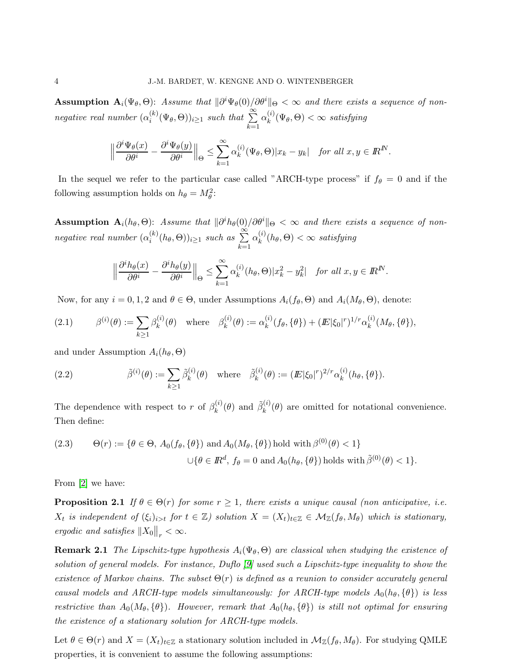Assumption  $A_i(\Psi_{\theta}, \Theta)$ : *Assume that*  $\|\partial^i \Psi_{\theta}(0)\rangle \partial^{\theta}$   $\|\Theta \|\leq \infty$  *and there exists a sequence of nonnegative real number*  $(\alpha_i^{(k)})$  $\sum_{i}^{(k)} (\Psi_{\theta}, \Theta)_{i \geq 1}$  *such that*  $\sum_{i=1}^{\infty}$  $_{k=1}$  $\alpha_k^{(i)}$  $\chi_k^{(i)}(\Psi_{\theta}, \Theta) < \infty$  *satisfying* 

$$
\left\|\frac{\partial^i \Psi_{\theta}(x)}{\partial \theta^i} - \frac{\partial^i \Psi_{\theta}(y)}{\partial \theta^i}\right\|_{\Theta} \le \sum_{k=1}^{\infty} \alpha_k^{(i)} (\Psi_{\theta}, \Theta) |x_k - y_k| \quad \text{for all } x, y \in \mathbb{R}^N.
$$

In the sequel we refer to the particular case called "ARCH-type process" if  $f_{\theta} = 0$  and if the following assumption holds on  $h_{\theta} = M_{\theta}^2$ :

 $\textbf{Assumption A}_{i}(h_{\theta},\Theta)$ : *Assume that*  $\|\partial^{i}h_{\theta}(0)/\partial\theta^{i}\|_{\Theta} < \infty$  and there exists a sequence of non*negative real number*  $(\alpha_i^{(k)})$  $\sum_{i}^{(k)}(h_{\theta},\Theta))_{i\geq 1}$  *such as*  $\sum_{i}^{\infty}$  $k=1$  $\alpha_k^{(i)}$  $\binom{u}{k}(h_{\theta}, \Theta) < \infty$  satisfying

$$
\left\|\frac{\partial^i h_{\theta}(x)}{\partial \theta^i} - \frac{\partial^i h_{\theta}(y)}{\partial \theta^i}\right\|_{\Theta} \le \sum_{k=1}^{\infty} \alpha_k^{(i)}(h_{\theta}, \Theta) |x_k^2 - y_k^2| \quad \text{for all } x, y \in \mathbb{R}^N.
$$

Now, for any  $i = 0, 1, 2$  and  $\theta \in \Theta$ , under Assumptions  $A_i(f_\theta, \Theta)$  and  $A_i(M_\theta, \Theta)$ , denote:

(2.1) 
$$
\beta^{(i)}(\theta) := \sum_{k \ge 1} \beta_k^{(i)}(\theta) \text{ where } \beta_k^{(i)}(\theta) := \alpha_k^{(i)}(f_{\theta}, \{\theta\}) + (I\!\!E|\xi_0|^r)^{1/r} \alpha_k^{(i)}(M_{\theta}, \{\theta\}),
$$

and under Assumption  $A_i(h_\theta, \Theta)$ 

(2.2) 
$$
\tilde{\beta}^{(i)}(\theta) := \sum_{k \ge 1} \tilde{\beta}_k^{(i)}(\theta) \text{ where } \tilde{\beta}_k^{(i)}(\theta) := (I\!\!E|\xi_0|^r)^{2/r} \alpha_k^{(i)}(h_\theta, \{\theta\}).
$$

The dependence with respect to r of  $\beta_k^{(i)}$  $\hat{\beta}_k^{(i)}(\theta)$  and  $\tilde{\beta}_k^{(i)}$  $\binom{v}{k}(\theta)$  are omitted for notational convenience. Then define:

(2.3) 
$$
\Theta(r) := \{ \theta \in \Theta, A_0(f_\theta, \{\theta\}) \text{ and } A_0(M_\theta, \{\theta\}) \text{ hold with } \beta^{(0)}(\theta) < 1 \}
$$

$$
\cup \{ \theta \in \mathbb{R}^d, f_\theta = 0 \text{ and } A_0(h_\theta, \{\theta\}) \text{ holds with } \tilde{\beta}^{(0)}(\theta) < 1 \}.
$$

From [\[2\]](#page-23-2) we have:

**Proposition 2.1** *If*  $\theta \in \Theta(r)$  *for some*  $r \geq 1$ *, there exists a unique causal (non anticipative, i.e.*  $X_t$  is independent of  $(\xi_i)_{i>t}$  for  $t \in \mathbb{Z}$ ) solution  $X = (X_t)_{t \in \mathbb{Z}} \in \mathcal{M}_{\mathbb{Z}}(f_\theta, M_\theta)$  which is stationary, *ergodic and satisfies*  $||X_0||_r < \infty$ .

**Remark 2.1** *The Lipschitz-type hypothesis*  $A_i(\Psi_{\theta}, \Theta)$  *are classical when studying the existence of solution of general models. For instance, Duflo [\[9\]](#page-24-11) used such a Lipschitz-type inequality to show the existence of Markov chains. The subset* Θ(r) *is defined as a reunion to consider accurately general causal models and ARCH-type models simultaneously: for ARCH-type models*  $A_0(h_\theta, \{\theta\})$  *is less restrictive than*  $A_0(M_\theta, \{\theta\})$ *. However, remark that*  $A_0(h_\theta, \{\theta\})$  *is still not optimal for ensuring the existence of a stationary solution for ARCH-type models.*

Let  $\theta \in \Theta(r)$  and  $X = (X_t)_{t \in \mathbb{Z}}$  a stationary solution included in  $\mathcal{M}_{\mathbb{Z}}(f_\theta, M_\theta)$ . For studying QMLE properties, it is convenient to assume the following assumptions: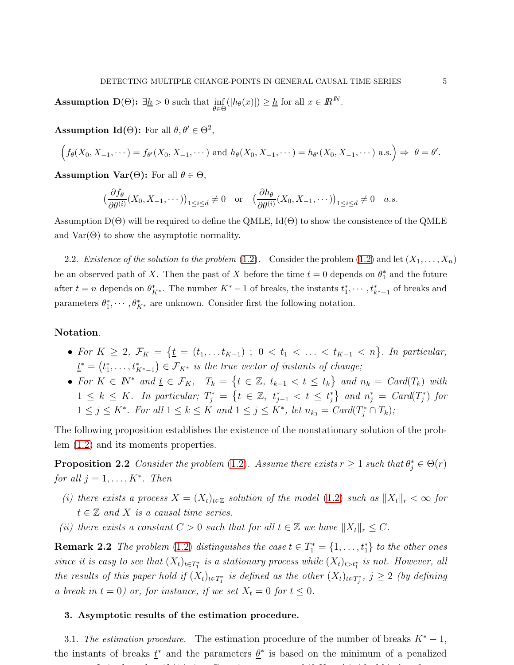**Assumption D**( $\Theta$ ):  $\exists \underline{h} > 0$  such that  $\inf_{\theta \in \Theta} (|h_{\theta}(x)|) \geq \underline{h}$  for all  $x \in \mathbb{R}^N$ .

**Assumption Id(** $\Theta$ ): For all  $\theta, \theta' \in \Theta^2$ ,

$$
\Big(f_{\theta}(X_0,X_{-1},\cdots)=f_{\theta'}(X_0,X_{-1},\cdots) \text{ and } h_{\theta}(X_0,X_{-1},\cdots)=h_{\theta'}(X_0,X_{-1},\cdots) \text{ a.s.}\Big)\Rightarrow \theta=\theta'.
$$

**Assumption Var(** $\Theta$ **):** For all  $\theta \in \Theta$ ,

$$
\left(\frac{\partial f_{\theta}}{\partial \theta^{(i)}}(X_0, X_{-1}, \cdots)\right)_{1 \leq i \leq d} \neq 0 \quad \text{or} \quad \left(\frac{\partial h_{\theta}}{\partial \theta^{(i)}}(X_0, X_{-1}, \cdots)\right)_{1 \leq i \leq d} \neq 0 \quad a.s.
$$

Assumption  $D(\Theta)$  will be required to define the QMLE,  $Id(\Theta)$  to show the consistence of the QMLE and  $Var(\Theta)$  to show the asymptotic normality.

2.2. *Existence of the solution to the problem*  $(1.2)$ . Consider the problem  $(1.2)$  and let  $(X_1, \ldots, X_n)$ be an observed path of X. Then the past of X before the time  $t = 0$  depends on  $\theta_1^*$  and the future after  $t = n$  depends on  $\theta_{K^*}^*$ . The number  $K^* - 1$  of breaks, the instants  $t_1^*, \dots, t_{k^*-1}^*$  of breaks and parameters  $\theta_1^*, \cdots, \theta_{K^*}^*$  are unknown. Consider first the following notation.

## Notation.

- For  $K \geq 2$ ,  $\mathcal{F}_K = \{ \underline{t} = (t_1, \ldots, t_{K-1}) \; ; \; 0 < t_1 < \ldots < t_{K-1} < n \}.$  In particular,  $\underline{t}^* = (t_1^*, \ldots, t_{K^*-1}^*) \in \mathcal{F}_{K^*}$  is the true vector of instants of change;
- <span id="page-4-1"></span>• For  $K \in \mathbb{N}^*$  and  $\underline{t} \in \mathcal{F}_K$ ,  $T_k = \{t \in \mathbb{Z}, t_{k-1} < t \leq t_k\}$  and  $n_k = \text{Card}(T_k)$  with  $1 \leq k \leq K$ . In particular;  $T_j^* = \{t \in \mathbb{Z}, t_{j-1}^* < t \leq t_j^*\}$  and  $n_j^* = Card(T_j^*)$  for  $1 \leq j \leq K^*$ . For all  $1 \leq k \leq K$  and  $1 \leq j \leq K^*$ , let  $n_{kj} = Card(T_j^* \cap T_k)$ ;

The following proposition establishes the existence of the nonstationary solution of the problem [\(1.2\)](#page-1-0) and its moments properties.

**Proposition 2.2** Consider the problem [\(1.2\)](#page-1-0). Assume there exists  $r \ge 1$  such that  $\theta_j^* \in \Theta(r)$ for all  $j = 1, \ldots, K^*$ . Then

- (i) there exists a process  $X = (X_t)_{t \in \mathbb{Z}}$  solution of the model [\(1.2\)](#page-1-0) such as  $||X_t||_r < \infty$  for  $t \in \mathbb{Z}$  and X is a causal time series.
- (ii) there exists a constant  $C > 0$  such that for all  $t \in \mathbb{Z}$  we have  $||X_t||_r \leq C$ .

**Remark 2.2** The problem [\(1.2\)](#page-1-0) distinguishes the case  $t \in T_1^* = \{1, \ldots, t_1^*\}$  to the other ones since it is easy to see that  $(X_t)_{t\in T_1^*}$  is a stationary process while  $(X_t)_{t>t_1^*}$  is not. However, all the results of this paper hold if  $(X_t)_{t \in T_1^*}$  is defined as the other  $(X_t)_{t \in T_j^*}$ ,  $j \ge 2$  (by defining a break in  $t = 0$ ) or, for instance, if we set  $X_t = 0$  for  $t \leq 0$ .

#### <span id="page-4-0"></span>3. Asymptotic results of the estimation procedure.

3.1. *The estimation procedure.* The estimation procedure of the number of breaks  $K^* - 1$ , the instants of breaks  $\underline{t}^*$  and the parameters  $\underline{\theta}^*$  is based on the minimum of a penalized contrast. It is contrast. It is a Gaussian process and if  $\alpha$  is a Gaussian process and if  $\alpha$  is easily then for s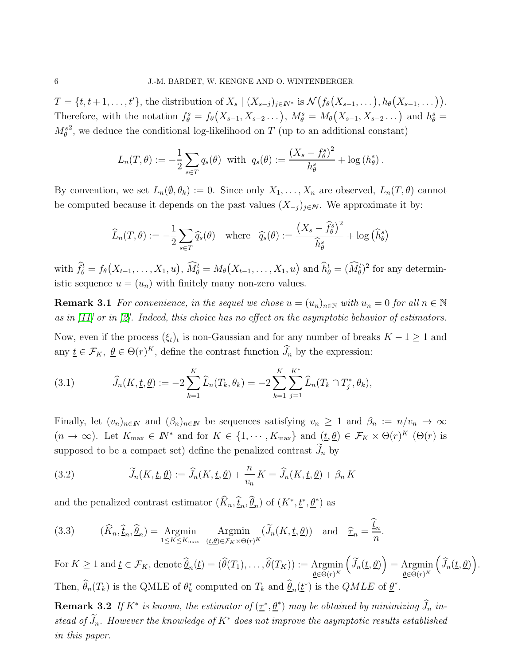$T = \{t, t+1, \ldots, t'\},\$  the distribution of  $X_s \mid (X_{s-j})_{j \in \mathbb{N}^*}$  is  $\mathcal{N}\big(f_\theta(X_{s-1}, \ldots), h_\theta(X_{s-1}, \ldots)\big).$ Therefore, with the notation  $f_{\theta}^s = f_{\theta}(X_{s-1}, X_{s-2} \dots), M_{\theta}^s = M_{\theta}(X_{s-1}, X_{s-2} \dots)$  and  $h_{\theta}^s =$  $M_\theta^s$ <sup>2</sup>, we deduce the conditional log-likelihood on  $T$  (up to an additional constant)

$$
L_n(T,\theta) := -\frac{1}{2} \sum_{s \in T} q_s(\theta) \text{ with } q_s(\theta) := \frac{(X_s - f_\theta^s)^2}{h_\theta^s} + \log(h_\theta^s).
$$

By convention, we set  $L_n(\emptyset, \theta_k) := 0$ . Since only  $X_1, \ldots, X_n$  are observed,  $L_n(T, \theta)$  cannot be computed because it depends on the past values  $(X_{-j})_{j\in\mathbb{N}}$ . We approximate it by:

$$
\widehat{L}_n(T,\theta) := -\frac{1}{2} \sum_{s \in T} \widehat{q}_s(\theta) \quad \text{where} \quad \widehat{q}_s(\theta) := \frac{\left(X_s - \widehat{f}_{\theta}^s\right)^2}{\widehat{h}_{\theta}^s} + \log\left(\widehat{h}_{\theta}^s\right)
$$

with  $\hat{f}_{\theta}^t = f_{\theta}(X_{t-1}, \ldots, X_1, u), \ \widehat{M}_{\theta}^t = M_{\theta}(X_{t-1}, \ldots, X_1, u)$  and  $\widehat{h}_{\theta}^t = (\widehat{M}_{\theta}^t)^2$  for any deterministic sequence  $u = (u_n)$  with finitely many non-zero values.

**Remark 3.1** For convenience, in the sequel we chose  $u = (u_n)_{n \in \mathbb{N}}$  with  $u_n = 0$  for all  $n \in \mathbb{N}$ as in [\[11\]](#page-24-7) or in [\[2\]](#page-23-2). Indeed, this choice has no effect on the asymptotic behavior of estimators.

Now, even if the process  $(\xi_t)_t$  is non-Gaussian and for any number of breaks  $K - 1 \geq 1$  and any  $\underline{t} \in \mathcal{F}_K$ ,  $\underline{\theta} \in \Theta(r)^K$ , define the contrast function  $\widehat{J}_n$  by the expression:

(3.1) 
$$
\widehat{J}_n(K, \underline{t}, \underline{\theta}) := -2 \sum_{k=1}^K \widehat{L}_n(T_k, \theta_k) = -2 \sum_{k=1}^K \sum_{j=1}^{K^*} \widehat{L}_n(T_k \cap T_j^*, \theta_k),
$$

Finally, let  $(v_n)_{n\in\mathbb{N}}$  and  $(\beta_n)_{n\in\mathbb{N}}$  be sequences satisfying  $v_n \geq 1$  and  $\beta_n := n/v_n \to \infty$  $(n \to \infty)$ . Let  $K_{\text{max}} \in \mathbb{N}^*$  and for  $K \in \{1, \cdots, K_{\text{max}}\}$  and  $(\underline{t}, \underline{\theta}) \in \mathcal{F}_K \times \Theta(r)^K$  ( $\Theta(r)$  is supposed to be a compact set) define the penalized contrast  $J_n$  by

<span id="page-5-0"></span>(3.2) 
$$
\widetilde{J}_n(K, \underline{t}, \underline{\theta}) := \widehat{J}_n(K, \underline{t}, \underline{\theta}) + \frac{n}{v_n} K = \widehat{J}_n(K, \underline{t}, \underline{\theta}) + \beta_n K
$$

and the penalized contrast estimator  $(\widehat{K}_n, \widehat{\underline{t}}_n, \widehat{\underline{\theta}}_n)$  of  $(K^*, \underline{t^*}, \underline{\theta^*})$  as

<span id="page-5-1"></span>(3.3) 
$$
(\widehat{K}_n, \widehat{\underline{t}}_n, \widehat{\underline{\theta}}_n) = \underset{1 \le K \le K_{\text{max}}}{\text{Argmin}} \underset{(\underline{t}, \underline{\theta}) \in \mathcal{F}_K \times \Theta(r)^K}{\text{Argmin}} (\widetilde{J}_n(K, \underline{t}, \underline{\theta})) \text{ and } \widehat{\underline{\tau}}_n = \frac{\underline{t}_n}{n}.
$$

For  $K \geq 1$  and  $\underline{t} \in \mathcal{F}_K$ , denote  $\underline{\theta}_n(\underline{t}) = (\theta(T_1), \dots, \theta(T_K)) := \underset{\underline{\theta} \in \Theta(r)^K}{\text{Argmin}}$  $\left(\widetilde{J}_n(\underline{t}, \underline{\theta})\right) = \operatorname{Argmin}_{\theta \in \Theta(\lambda)^K}$  $\theta \in \Theta(r)^K$  $(\widehat{J}_n(\underline{t},\underline{\theta}))$ . Then,  $\widehat{\theta}_n(T_k)$  is the QMLE of  $\theta_k^*$  computed on  $T_k$  and  $\underline{\widehat{\theta}}_n(\underline{t}^*)$  is the  $QMLE$  of  $\underline{\theta}^*$ .

**Remark 3.2** If  $K^*$  is known, the estimator of  $(\underline{\tau}^*, \underline{\theta}^*)$  may be obtained by minimizing  $\widehat{J}_n$  instead of  $\widetilde{J}_n$ . However the knowledge of  $K^*$  does not improve the asymptotic results established in this paper.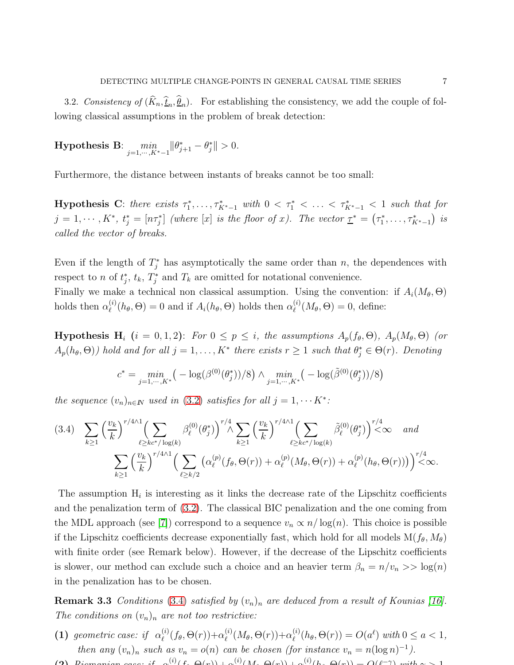3.2. *Consistency of*  $(K_n, \underline{\hat{t}}_n, \underline{\theta}_n)$ . For establishing the consistency, we add the couple of following classical assumptions in the problem of break detection:

**Hypothesis B:** 
$$
\min_{j=1,\cdots,K^*-1} \|\theta_{j+1}^* - \theta_j^*\| > 0.
$$

Furthermore, the distance between instants of breaks cannot be too small:

**Hypothesis C**: there exists  $\tau_1^*, \ldots, \tau_{K^*-1}^*$  with  $0 < \tau_1^* < \ldots < \tau_{K^*-1}^* < 1$  such that for  $j = 1, \dots, K^*, t_j^* = [n\tau_j^*]$  (where  $[x]$  is the floor of x). The vector  $\underline{\tau}^* = (\tau_1^*, \dots, \tau_{K^*-1}^*)$  is called the vector of breaks.

Even if the length of  $T_j^*$  has asymptotically the same order than n, the dependences with respect to n of  $t_j^*, t_k, T_j^*$  and  $T_k$  are omitted for notational convenience. Finally we make a technical non classical assumption. Using the convention: if  $A_i(M_\theta, \Theta)$ holds then  $\alpha_{\ell}^{(i)}$  $\mathcal{L}_{\ell}^{(i)}(h_{\theta}, \Theta) = 0$  and if  $A_i(h_{\theta}, \Theta)$  holds then  $\alpha_{\ell}^{(i)}$  $\binom{v}{\ell}(M_\theta,\Theta)=0,$  define:

**Hypothesis H**<sub>i</sub>  $(i = 0, 1, 2)$ : For  $0 \le p \le i$ , the assumptions  $A_p(f_\theta, \Theta)$ ,  $A_p(M_\theta, \Theta)$  (or  $A_p(h_\theta, \Theta)$ ) hold and for all  $j = 1, ..., K^*$  there exists  $r \ge 1$  such that  $\theta_j^* \in \Theta(r)$ . Denoting

$$
c^* = \min_{j=1,\dots,K^*} \left( -\log(\beta^{(0)}(\theta_j^*))/8 \right) \wedge \min_{j=1,\dots,K^*} \left( -\log(\tilde{\beta}^{(0)}(\theta_j^*))/8 \right)
$$

the sequence  $(v_n)_{n \in \mathbb{N}}$  used in [\(3.2\)](#page-5-0) satisfies for all  $j = 1, \dots K^*$ :

<span id="page-6-1"></span>
$$
(3.4) \sum_{k\geq 1} \left(\frac{v_k}{k}\right)^{r/4} \left(\sum_{\ell \geq k c^* / \log(k)} \beta_{\ell}^{(0)}(\theta_j^*)\right)^{r/4} \sum_{k\geq 1} \left(\frac{v_k}{k}\right)^{r/4} \left(\sum_{\ell \geq k c^* / \log(k)} \tilde{\beta}_{\ell}^{(0)}(\theta_j^*)\right)^{r/4} \n\sum_{k\geq 1} \left(\frac{v_k}{k}\right)^{r/4} \left(\sum_{\ell \geq k/2} \left(\alpha_{\ell}^{(p)}(f_{\theta}, \Theta(r)) + \alpha_{\ell}^{(p)}(M_{\theta}, \Theta(r)) + \alpha_{\ell}^{(p)}(h_{\theta}, \Theta(r))\right)\right)^{r/4} \n\infty.
$$

The assumption  $H_i$  is interesting as it links the decrease rate of the Lipschitz coefficients and the penalization term of [\(3.2\)](#page-5-0). The classical BIC penalization and the one coming from the MDL approach (see [\[7\]](#page-23-4)) correspond to a sequence  $v_n \propto n/\log(n)$ . This choice is possible if the Lipschitz coefficients decrease exponentially fast, which hold for all models  $M(f_\theta, M_\theta)$ with finite order (see Remark below). However, if the decrease of the Lipschitz coefficients is slower, our method can exclude such a choice and an heavier term  $\beta_n = n/v_n >> \log(n)$ in the penalization has to be chosen.

<span id="page-6-0"></span>**Remark 3.3** Conditions [\(3.4\)](#page-6-1) satisfied by  $(v_n)_n$  are deduced from a result of Kounias [\[16\]](#page-24-12). The conditions on  $(v_n)_n$  are not too restrictive:

- (1) geometric case: if  $\alpha_{\ell}^{(i)}$  $\stackrel{(i)}{\ell}(f_{\theta},\Theta(r)) + \alpha^{(i)}_{\ell}$  $\chi^{(i)}_\ell(M_\theta,\Theta(r)) + \alpha^{(i)}_\ell$  $\mathcal{O}_{\ell}^{(i)}(h_{\theta}, \Theta(r)) = O(a^{\ell}) \text{ with } 0 \leq a < 1,$ then any  $(v_n)_n$  such as  $v_n = o(n)$  can be chosen (for instance  $v_n = n(\log n)^{-1}$ ).
- (2) Riemanian case: if  $\alpha^{(i)}(f, \Theta(r)) + \alpha^{(i)}(M, \Theta(r)) + \alpha^{(i)}(h, \Theta(r)) = O(\ell^{-\gamma})$  with  $\alpha > 1$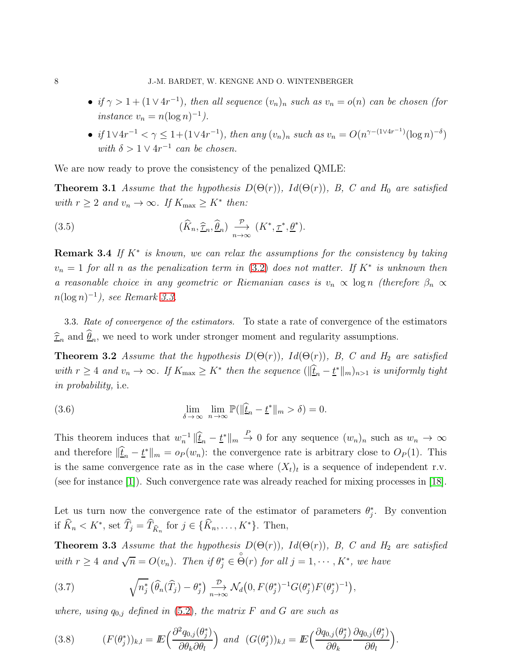- if  $\gamma > 1 + (1 \vee 4r^{-1})$ , then all sequence  $(v_n)_n$  such as  $v_n = o(n)$  can be chosen (for instance  $v_n = n(\log n)^{-1}$ .
- <span id="page-7-4"></span>• if  $1 \vee 4r^{-1} < \gamma \leq 1 + (1 \vee 4r^{-1})$ , then any  $(v_n)_n$  such as  $v_n = O(n^{\gamma - (1 \vee 4r^{-1})} (\log n)^{-\delta})$ with  $\delta > 1 \vee 4r^{-1}$  can be chosen.

We are now ready to prove the consistency of the penalized QMLE:

**Theorem 3.1** Assume that the hypothesis  $D(\Theta(r))$ ,  $Id(\Theta(r))$ , B, C and H<sub>0</sub> are satisfied with  $r \geq 2$  and  $v_n \to \infty$ . If  $K_{\text{max}} \geq K^*$  then:

(3.5) 
$$
(\widehat{K}_n, \widehat{\underline{\tau}}_n, \widehat{\underline{\theta}}_n) \xrightarrow[n \to \infty]{\mathcal{P}} (K^*, \underline{\tau}^*, \underline{\theta}^*).
$$

**Remark 3.4** If  $K^*$  is known, we can relax the assumptions for the consistency by taking  $v_n = 1$  for all n as the penalization term in [\(3.2\)](#page-5-0) does not matter. If  $K^*$  is unknown then a reasonable choice in any geometric or Riemanian cases is  $v_n \propto \log n$  (therefore  $\beta_n \propto$  $n(\log n)^{-1}$ ), see Remark [3.3.](#page-6-0)

<span id="page-7-5"></span>3.3. *Rate of convergence of the estimators.* To state a rate of convergence of the estimators  $\hat{\tau}_n$  and  $\theta_n$ , we need to work under stronger moment and regularity assumptions.

**Theorem 3.2** Assume that the hypothesis  $D(\Theta(r))$ ,  $Id(\Theta(r))$ , B, C and H<sub>2</sub> are satisfied with  $r \geq 4$  and  $v_n \to \infty$ . If  $K_{\text{max}} \geq K^*$  then the sequence  $(\|\hat{\underline{t}}_n - \underline{t}^*\|_m)_{n>1}$  is uniformly tight in probability, i.e.

<span id="page-7-2"></span>(3.6) 
$$
\lim_{\delta \to \infty} \lim_{n \to \infty} \mathbb{P}(\|\hat{\underline{t}}_n - \underline{t}^*\|_m > \delta) = 0.
$$

This theorem induces that  $w_n^{-1} \|\hat{\underline{t}}_n - \underline{t}^*\|_m \overset{P}{\to} 0$  for any sequence  $(w_n)_n$  such as  $w_n \to \infty$ and therefore  $\|\hat{\underline{t}}_n - \underline{t}^*\|_m = o_P(w_n)$ : the convergence rate is arbitrary close to  $O_P(1)$ . This is the same convergence rate as in the case where  $(X_t)_t$  is a sequence of independent r.v. (see for instance [\[1\]](#page-23-1)). Such convergence rate was already reached for mixing processes in [\[18\]](#page-24-3).

<span id="page-7-1"></span>Let us turn now the convergence rate of the estimator of parameters  $\theta_j^*$ . By convention if  $\hat{K}_n < K^*$ , set  $\hat{T}_j = \hat{T}_{\hat{K}_n}$  for  $j \in {\{\hat{K}_n, \dots, K^*\}}$ . Then,

**Theorem 3.3** Assume that the hypothesis  $D(\Theta(r))$ ,  $Id(\Theta(r))$ , B, C and H<sub>2</sub> are satisfied with  $r \geq 4$  and  $\sqrt{n} = O(v_n)$ . Then if  $\theta_j^* \in$  $\stackrel{\circ}{\Theta}(r)$  for all  $j = 1, \cdots, K^*$ , we have

<span id="page-7-3"></span>(3.7) 
$$
\sqrt{n_j^*} \left( \widehat{\theta}_n(\widehat{T}_j) - \theta_j^* \right) \underset{n \to \infty}{\xrightarrow{D}} \mathcal{N}_d \big( 0, F(\theta_j^*)^{-1} G(\theta_j^*) F(\theta_j^*)^{-1} \big),
$$

where, using  $q_{0,j}$  defined in [\(5.2\)](#page-13-0), the matrix F and G are such as

<span id="page-7-6"></span><span id="page-7-0"></span>(3.8) 
$$
(F(\theta_j^*))_{k,l} = E\left(\frac{\partial^2 q_{0,j}(\theta_j^*)}{\partial \theta_k \partial \theta_l}\right) \text{ and } (G(\theta_j^*))_{k,l} = E\left(\frac{\partial q_{0,j}(\theta_j^*)}{\partial \theta_k} \frac{\partial q_{0,j}(\theta_j^*)}{\partial \theta_l}\right).
$$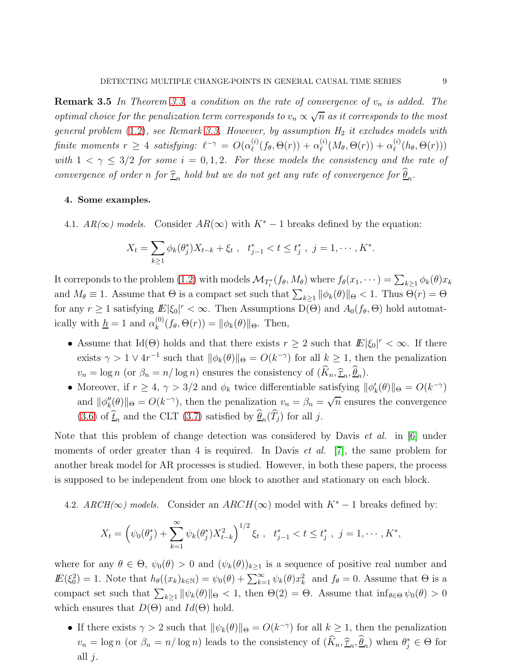**Remark 3.5** In Theorem [3.3,](#page-7-1) a condition on the rate of convergence of  $v_n$  is added. The optimal choice for the penalization term corresponds to  $v_n \propto \sqrt{n}$  as it corresponds to the most general problem  $(1.2)$ , see Remark [3.3.](#page-6-0) However, by assumption  $H_2$  it excludes models with finite moments  $r \geq 4$  satisfying:  $\ell^{-\gamma} = O(\alpha_\ell^{(i)})$  $\alpha_\ell^{(i)}(f_\theta,\Theta(r)) + \alpha_\ell^{(i)}$  $\alpha_\ell^{(i)}(M_\theta,\Theta(r)) + \alpha_\ell^{(i)}$  $\binom{v}{\ell}(h_{\theta}, \Theta(r)))$ with  $1 < \gamma \leq 3/2$  for some  $i = 0, 1, 2$ . For these models the consistency and the rate of convergence of order n for  $\hat{\tau}_n$  hold but we do not get any rate of convergence for  $\underline{\theta}_n$ .

### <span id="page-8-0"></span>4. Some examples.

4.1.  $AR(\infty)$  models. Consider  $AR(\infty)$  with  $K^* - 1$  breaks defined by the equation:

$$
X_t = \sum_{k \ge 1} \phi_k(\theta_j^*) X_{t-k} + \xi_t , \quad t_{j-1}^* < t \le t_j^* , \quad j = 1, \cdots, K^*.
$$

It correponds to the problem [\(1.2\)](#page-1-0) with models  $\mathcal{M}_{T_i^*}(f_\theta, M_\theta)$  where  $f_\theta(x_1, \dots) = \sum_{k \geq 1} \phi_k(\theta) x_k$ and  $M_{\theta} \equiv 1$ . Assume that  $\Theta$  is a compact set such that  $\sum_{k\geq 1} ||\phi_k(\theta)||_{\Theta} < 1$ . Thus  $\Theta(r) = \Theta$ for any  $r \geq 1$  satisfying  $E[\xi_0]^r < \infty$ . Then Assumptions D( $\Theta$ ) and  $A_0(f_\theta, \Theta)$  hold automatically with  $h = 1$  and  $\alpha_k^{(0)}$  $\mathcal{L}_{k}^{(0)}(f_{\theta}, \Theta(r)) = ||\phi_{k}(\theta)||_{\Theta}$ . Then,

- Assume that Id( $\Theta$ ) holds and that there exists  $r \geq 2$  such that  $E|\xi_0|^r < \infty$ . If there exists  $\gamma > 1 \vee 4r^{-1}$  such that  $\|\phi_k(\theta)\|_{\Theta} = O(k^{-\gamma})$  for all  $k \geq 1$ , then the penalization  $v_n = \log n$  (or  $\beta_n = n/\log n$ ) ensures the consistency of  $(K_n, \hat{\tau}_n, \theta_n)$ .
- Moreover, if  $r \geq 4$ ,  $\gamma > 3/2$  and  $\phi_k$  twice differentiable satisfying  $\|\phi_k'(\theta)\|_{\Theta} = O(k^{-\gamma})$ and  $\|\phi''_k(\theta)\|_{\Theta} = O(k^{-\gamma})$ , then the penalization  $v_n = \beta_n = \sqrt{n}$  ensures the convergence [\(3.6\)](#page-7-2) of  $\underline{t}_n$  and the CLT [\(3.7\)](#page-7-3) satisfied by  $\underline{\theta}_n(T_j)$  for all j.

Note that this problem of change detection was considered by Davis *et al.* in [\[6\]](#page-23-3) under moments of order greater than 4 is required. In Davis *et al.* [\[7\]](#page-23-4), the same problem for another break model for AR processes is studied. However, in both these papers, the process is supposed to be independent from one block to another and stationary on each block.

4.2. *ARCH*( $\infty$ *)* models. Consider an *ARCH*( $\infty$ ) model with  $K^* - 1$  breaks defined by:

$$
X_t = \left(\psi_0(\theta_j^*) + \sum_{k=1}^{\infty} \psi_k(\theta_j^*) X_{t-k}^2\right)^{1/2} \xi_t, \quad t_{j-1}^* < t \le t_j^*, \quad j = 1, \cdots, K^*,
$$

where for any  $\theta \in \Theta$ ,  $\psi_0(\theta) > 0$  and  $(\psi_k(\theta))_{k \geq 1}$  is a sequence of positive real number and  $\mathbb{E}(\xi_0^2) = 1$ . Note that  $h_\theta((x_k)_{k \in \mathbb{N}}) = \psi_0(\theta) + \sum_{k=1}^\infty \psi_k(\theta) x_k^2$  and  $f_\theta = 0$ . Assume that  $\Theta$  is a compact set such that  $\sum_{k\geq 1} ||\psi_k(\theta)||_{\Theta} < 1$ , then  $\Theta(2) = \Theta$ . Assume that  $\inf_{\theta \in \Theta} \psi_0(\theta) > 0$ which ensures that  $D(\Theta)$  and  $Id(\Theta)$  hold.

• If there exists  $\gamma > 2$  such that  $\|\psi_k(\theta)\|_{\Theta} = O(k^{-\gamma})$  for all  $k \geq 1$ , then the penalization  $v_n = \log n$  (or  $\beta_n = n/\log n$ ) leads to the consistency of  $(\hat{K}_n, \hat{\tau}_n, \hat{\theta}_n)$  when  $\theta_j^* \in \Theta$  for all  $j$ .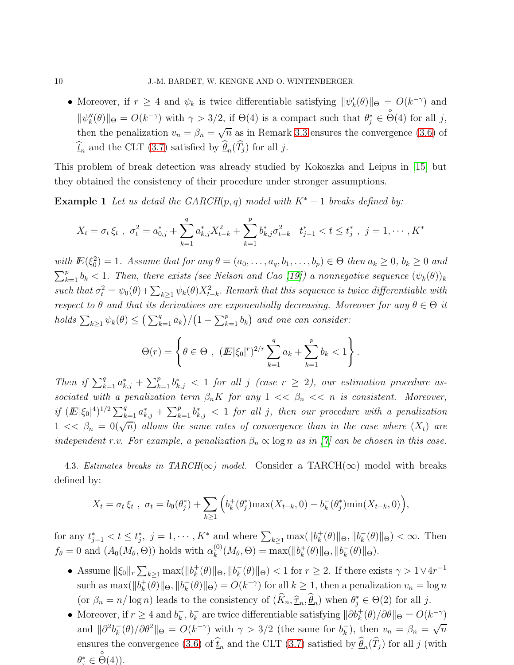• Moreover, if  $r \geq 4$  and  $\psi_k$  is twice differentiable satisfying  $\|\psi_k'(\theta)\|_{\Theta} = O(k^{-\gamma})$  and  $\|\psi_k''(\theta)\|_{\Theta} = O(k^{-\gamma})$  with  $\gamma > 3/2$ , if  $\Theta(4)$  is a compact such that  $\theta_j^* \in$  $\stackrel{\circ}{\Theta}(4)$  for all j, then the penalization  $v_n = \beta_n = \sqrt{n}$  as in Remark [3.3](#page-6-0) ensures the convergence [\(3.6\)](#page-7-2) of  $\underline{t}_n$  and the CLT [\(3.7\)](#page-7-3) satisfied by  $\underline{\theta}_n(T_j)$  for all j.

This problem of break detection was already studied by Kokoszka and Leipus in [\[15\]](#page-24-4) but they obtained the consistency of their procedure under stronger assumptions.

**Example 1** Let us detail the GARCH(p, q) model with  $K^* - 1$  breaks defined by:

$$
X_t = \sigma_t \xi_t \ , \ \sigma_t^2 = a_{0,j}^* + \sum_{k=1}^q a_{k,j}^* X_{t-k}^2 + \sum_{k=1}^p b_{k,j}^* \sigma_{t-k}^2 \quad t_{j-1}^* < t \le t_j^* \ , \ j = 1, \cdots, K^*
$$

with  $\mathbb{E}(\xi_0^2) = 1$ . Assume that for any  $\theta = (a_0, \ldots, a_q, b_1, \ldots, b_p) \in \Theta$  then  $a_k \geq 0$ ,  $b_k \geq 0$  and  $\sum_{k=1}^{p} b_k < 1$ . Then, there exists (see Nelson and Cao [\[19\]](#page-24-13)) a nonnegative sequence  $(\psi_k(\theta))_k$ such that  $\sigma_t^2 = \psi_0(\theta) + \sum_{k\geq 1} \psi_k(\theta) X_{t-k}^2$ . Remark that this sequence is twice differentiable with respect to  $\theta$  and that its derivatives are exponentially decreasing. Moreover for any  $\theta \in \Theta$  it holds  $\sum_{k\geq 1} \psi_k(\theta) \leq \left(\sum_{k=1}^q a_k\right) / \left(1 - \sum_{k=1}^p b_k\right)$  and one can consider:

$$
\Theta(r) = \left\{ \theta \in \Theta , \ (E|\xi_0|^r)^{2/r} \sum_{k=1}^q a_k + \sum_{k=1}^p b_k < 1 \right\}.
$$

Then if  $\sum_{k=1}^q a_{k,j}^* + \sum_{k=1}^p b_{k,j}^*$  < 1 for all j (case  $r \geq 2$ ), our estimation procedure associated with a penalization term  $\beta_n K$  for any  $1 \ll \beta_n \ll n$  is consistent. Moreover, if  $(E|\xi_0|^4)^{1/2} \sum_{k=1}^q a_{k,j}^* + \sum_{k=1}^p b_{k,j}^*$  < 1 for all j, then our procedure with a penalization  $1 \ll \beta_n = 0(\sqrt{n})$  allows the same rates of convergence than in the case where  $(X_t)$  are independent r.v. For example, a penalization  $\beta_n \propto \log n$  as in [\[7\]](#page-23-4) can be chosen in this case.

4.3. *Estimates breaks in TARCH*( $\infty$ ) *model.* Consider a TARCH( $\infty$ ) model with breaks defined by:

$$
X_t = \sigma_t \xi_t , \ \sigma_t = b_0(\theta_j^*) + \sum_{k \ge 1} \left( b_k^+(\theta_j^*) \max(X_{t-k}, 0) - b_k^-(\theta_j^*) \min(X_{t-k}, 0) \right),
$$

for any  $t_{j-1}^* < t \leq t_j^*$ ,  $j = 1, \dots, K^*$  and where  $\sum_{k \geq 1} \max(||b_k^+||)$  $_{k}^{+}(\theta)\|\Theta,\|b_{k}^{-}$  $\bar{k}_{k}(\theta) \|_{\Theta}$  <  $\infty$ . Then  $f_{\theta} = 0$  and  $(A_0(M_{\theta}, \Theta))$  holds with  $\alpha_k^{(0)}$  $\chi_k^{(0)}(M_\theta,\Theta) = \max(||b_k^+||)$  $\mathcal{L}_k^+(\theta)\|\Theta,\|b_k^ \overline{k}(\theta)\|\Theta).$ 

- Assume  $\|\xi_0\|_r \sum_{k\geq 1} \max(\|b_k^+\)$  $\mathcal{L}_k^+(\theta)$ || $\Theta$ , || $b_k^ \frac{1}{k}(\theta) \|_{\Theta}$  > 1 for  $r \geq 2$ . If there exists  $\gamma > 1 \vee 4r^{-1}$ such as  $\max(||b_k^+||)$  $_{k}^{+}(\theta)\|\Theta,\|b_{k}^{-}$  $\bar{k}_{k}(\theta) \|_{\Theta} = O(k^{-\gamma})$  for all  $k \geq 1$ , then a penalization  $v_n = \log n$ (or  $\beta_n = n/\log n$ ) leads to the consistency of  $(\widehat{K}_n, \widehat{\tau}_n, \widehat{\theta}_n)$  when  $\theta_i^* \in \Theta(2)$  for all j.
- Moreover, if  $r \geq 4$  and  $b_k^+$  $k^{\dagger}, b_k^ \overline{k}$  are twice differentiable satisfying  $\|\partial b_k^+(\theta)/\partial\theta\|_{\Theta} = O(k^{-\gamma})$ and  $\|\partial^2 b_k^ \int_{k}^{L}(\theta)/\partial\theta^{2}\Vert_{\Theta} = O(k^{-\gamma})$  with  $\gamma > 3/2$  (the same for  $b_{k}^{-}$  $\binom{-}{k}$ , then  $v_n = \beta_n = \sqrt{n}$ ensures the convergence [\(3.6\)](#page-7-2) of  $\underline{t}_n$  and the CLT [\(3.7\)](#page-7-3) satisfied by  $\underline{\theta}_n(T_j)$  for all j (with  $\theta_i^* \in$  $\overset{\circ}{\Theta}(4)).$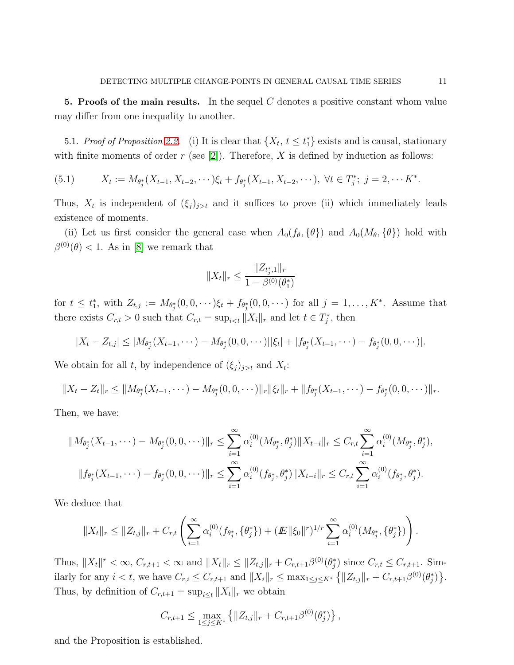<span id="page-10-0"></span>5. Proofs of the main results. In the sequel  $C$  denotes a positive constant whom value may differ from one inequality to another.

5.1. *Proof of Proposition [2.2.](#page-4-1)* (i) It is clear that  $\{X_t, t \leq t^*_1\}$  exists and is causal, stationary with finite moments of order r (see [\[2\]](#page-23-2)). Therefore, X is defined by induction as follows:

(5.1) 
$$
X_t := M_{\theta_j^*}(X_{t-1}, X_{t-2}, \cdots) \xi_t + f_{\theta_j^*}(X_{t-1}, X_{t-2}, \cdots), \ \forall t \in T_j^*; \ j = 2, \cdots K^*.
$$

Thus,  $X_t$  is independent of  $(\xi_j)_{j>t}$  and it suffices to prove (ii) which immediately leads existence of moments.

(ii) Let us first consider the general case when  $A_0(f_\theta, \{\theta\})$  and  $A_0(M_\theta, \{\theta\})$  hold with  $\beta^{(0)}(\theta) < 1.$  As in [\[8\]](#page-24-2) we remark that

$$
||X_t||_r \le \frac{||Z_{t_j^*,1}||_r}{1 - \beta^{(0)}(\theta_1^*)}
$$

for  $t \leq t_1^*$ , with  $Z_{t,j} := M_{\theta_j^*}(0,0,\dots) \xi_t + f_{\theta_j^*}(0,0,\dots)$  for all  $j = 1,\dots,K^*$ . Assume that there exists  $C_{r,t} > 0$  such that  $C_{r,t} = \sup_{i \le t} ||X_i||_r$  and let  $t \in T_j^*$ , then

$$
|X_t - Z_{t,j}| \leq |M_{\theta_j^*}(X_{t-1}, \dots) - M_{\theta_j^*}(0, 0, \dots) ||\xi_t| + |f_{\theta_j^*}(X_{t-1}, \dots) - f_{\theta_j^*}(0, 0, \dots) |.
$$

We obtain for all t, by independence of  $(\xi_j)_{j>t}$  and  $X_t$ :

$$
||X_t - Z_t||_r \leq ||M_{\theta_j^*}(X_{t-1}, \dots) - M_{\theta_j^*}(0, 0, \dots) ||_r ||\xi_t||_r + ||f_{\theta_j^*}(X_{t-1}, \dots) - f_{\theta_j^*}(0, 0, \dots) ||_r.
$$

Then, we have:

$$
||M_{\theta_j^*}(X_{t-1},\dots)-M_{\theta_j^*}(0,0,\dots)||_r \leq \sum_{i=1}^{\infty} \alpha_i^{(0)}(M_{\theta_j^*},\theta_j^*)||X_{t-i}||_r \leq C_{r,t} \sum_{i=1}^{\infty} \alpha_i^{(0)}(M_{\theta_j^*},\theta_j^*),
$$
  

$$
||f_{\theta_j^*}(X_{t-1},\dots)-f_{\theta_j^*}(0,0,\dots)||_r \leq \sum_{i=1}^{\infty} \alpha_i^{(0)}(f_{\theta_j^*},\theta_j^*)||X_{t-i}||_r \leq C_{r,t} \sum_{i=1}^{\infty} \alpha_i^{(0)}(f_{\theta_j^*},\theta_j^*).
$$

We deduce that

$$
||X_t||_r \leq ||Z_{t,j}||_r + C_{r,t} \left( \sum_{i=1}^{\infty} \alpha_i^{(0)}(f_{\theta_j^*}, \{\theta_j^*\}) + (E||\xi_0||^r)^{1/r} \sum_{i=1}^{\infty} \alpha_i^{(0)}(M_{\theta_j^*}, \{\theta_j^*\}) \right).
$$

Thus,  $||X_t||^r < \infty$ ,  $C_{r,t+1} < \infty$  and  $||X_t||_r \leq ||Z_{t,j}||_r + C_{r,t+1}\beta^{(0)}(\theta_j^*)$  since  $C_{r,t} \leq C_{r,t+1}$ . Similarly for any  $i < t$ , we have  $C_{r,i} \leq C_{r,t+1}$  and  $||X_i||_r \leq \max_{1 \leq j \leq K^*} \{||Z_{t,j}||_r + C_{r,t+1}\beta^{(0)}(\theta_j^*)\}.$ Thus, by definition of  $C_{r,t+1} = \sup_{i \leq t} ||X_t||_r$  we obtain

$$
C_{r,t+1} \leq \max_{1 \leq j \leq K^*} \left\{ ||Z_{t,j}||_r + C_{r,t+1} \beta^{(0)}(\theta_j^*) \right\},\,
$$

and the Proposition is established.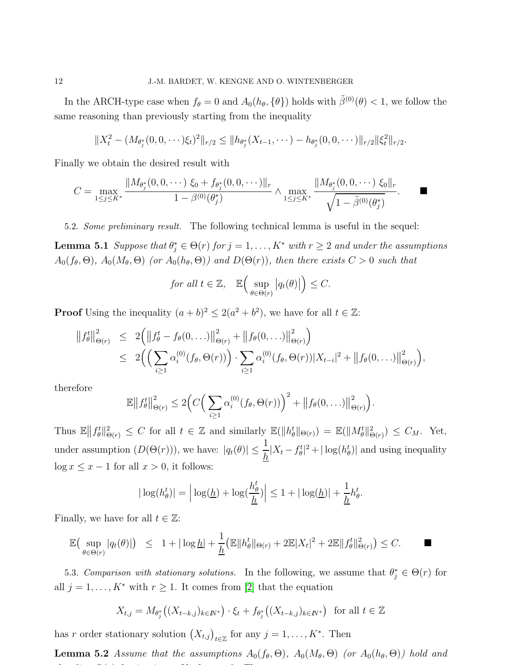In the ARCH-type case when  $f_{\theta} = 0$  and  $A_0(h_{\theta}, {\theta})$  holds with  $\tilde{\beta}^{(0)}(\theta) < 1$ , we follow the same reasoning than previously starting from the inequality

$$
||X_t^2 - (M_{\theta_j^*}(0,0,\cdots)\xi_t)^2||_{r/2} \leq ||h_{\theta_j^*}(X_{t-1},\cdots) - h_{\theta_j^*}(0,0,\cdots)||_{r/2}||\xi_t^2||_{r/2}.
$$

Finally we obtain the desired result with

$$
C = \max_{1 \leq j \leq K^*} \frac{\|M_{\theta_j^*}(0,0,\cdots) \xi_0 + f_{\theta_j^*}(0,0,\cdots)\|_r}{1 - \beta^{(0)}(\theta_j^*)} \wedge \max_{1 \leq j \leq K^*} \frac{\|M_{\theta_j^*}(0,0,\cdots) \xi_0\|_r}{\sqrt{1 - \tilde{\beta}^{(0)}(\theta_j^*)}}.
$$

5.2. *Some preliminary result.* The following technical lemma is useful in the sequel:

**Lemma 5.1** Suppose that  $\theta_j^* \in \Theta(r)$  for  $j = 1, ..., K^*$  with  $r \geq 2$  and under the assumptions  $A_0(f_\theta,\Theta), A_0(M_\theta,\Theta)$  (or  $A_0(h_\theta,\Theta)$ ) and  $D(\Theta(r))$ , then there exists  $C > 0$  such that

<span id="page-11-1"></span>for all 
$$
t \in \mathbb{Z}
$$
,  $\mathbb{E}\left(\sup_{\theta \in \Theta(r)} |q_t(\theta)|\right) \leq C$ .

**Proof** Using the inequality  $(a + b)^2 \le 2(a^2 + b^2)$ , we have for all  $t \in \mathbb{Z}$ :

$$
||f_{\theta}^{t}||_{\Theta(r)}^{2} \leq 2 (||f_{\theta}^{t} - f_{\theta}(0, ...)||_{\Theta(r)}^{2} + ||f_{\theta}(0, ...)||_{\Theta(r)}^{2})
$$
  
 
$$
\leq 2 ( \left( \sum_{i \geq 1} \alpha_{i}^{(0)}(f_{\theta}, \Theta(r)) \right) \cdot \sum_{i \geq 1} \alpha_{i}^{(0)}(f_{\theta}, \Theta(r)) |X_{t-i}|^{2} + ||f_{\theta}(0, ...)||_{\Theta(r)}^{2}),
$$

therefore

$$
\mathbb{E}\big\|f_{\theta}^{t}\big\|_{\Theta(r)}^{2} \leq 2\Big(C\Big(\sum_{i\geq 1}\alpha_{i}^{(0)}(f_{\theta},\Theta(r))\Big)^{2} + \big\|f_{\theta}(0,\ldots)\big\|_{\Theta(r)}^{2}\Big).
$$

Thus  $\mathbb{E} || f_\theta^t ||_{\Theta(r)}^2 \leq C$  for all  $t \in \mathbb{Z}$  and similarly  $\mathbb{E} (||h_\theta^t ||_{\Theta(r)}) = \mathbb{E} (||M_\theta^t ||_{\Theta(r)}) \leq C_M$ . Yet, under assumption  $(D(\Theta(r)))$ , we have:  $|q_t(\theta)| \leq \frac{1}{h}|X_t - f_\theta^t|^2 + |\log(h_\theta^t)|$  and using inequality  $\log x \leq x - 1$  for all  $x > 0$ , it follows:

$$
|\log(h_{\theta}^{t})| = \left| \log(\underline{h}) + \log(\frac{h_{\theta}^{t}}{\underline{h}}) \right| \leq 1 + |\log(\underline{h})| + \frac{1}{\underline{h}} h_{\theta}^{t}.
$$

Finally, we have for all  $t \in \mathbb{Z}$ :

$$
\mathbb{E}\big(\sup_{\theta\in\Theta(r)}|q_t(\theta)|\big) \leq 1+|\log\underline{h}|+\frac{1}{\underline{h}}\big(\mathbb{E}\|h^t_{\theta}\|_{\Theta(r)}+2\mathbb{E}|X_t|^2+2\mathbb{E}\|f^t_{\theta}\|^2_{\Theta(r)}\big)\leq C.\qquad \blacksquare
$$

5.3. *Comparison with stationary solutions*. In the following, we assume that  $\theta_j^* \in \Theta(r)$  for all  $j = 1, ..., K^*$  with  $r \ge 1$ . It comes from [\[2\]](#page-23-2) that the equation

<span id="page-11-0"></span>
$$
X_{t,j} = M_{\theta_j^*}((X_{t-k,j})_{k \in \mathbb{N}^*}) \cdot \xi_t + f_{\theta_j^*}((X_{t-k,j})_{k \in \mathbb{N}^*}) \text{ for all } t \in \mathbb{Z}
$$

has r order stationary solution  $(X_{t,j})_{t \in \mathbb{Z}}$  for any  $j = 1, \ldots, K^*$ . Then

**Lemma 5.2** Assume that the assumptions  $A_0(f_\theta, \Theta)$ ,  $A_0(M_\theta, \Theta)$  (or  $A_0(h_\theta, \Theta)$ ) hold and that experiences are the second to the second second to the second second second second second second second second second second second second second second second second second second second second second second second s <sup>∗</sup> <sup>∈</sup> Θ(r) for <sup>j</sup> = 1, . . . , K<sup>∗</sup> for r ≥ 2. Then: 2. Then: 2. Then: 2. Then: 2. Then: 2. Then: 2. Then: 2. Then: 2. Then: 2. Then: 2. Then: 2. Then: 2. Then: 2. Then: 2. Then: 2. Then: 2. Then: 2. Then: 2. Then: 2. Then: 2. Then: 2. Then: 2. Then: 2. The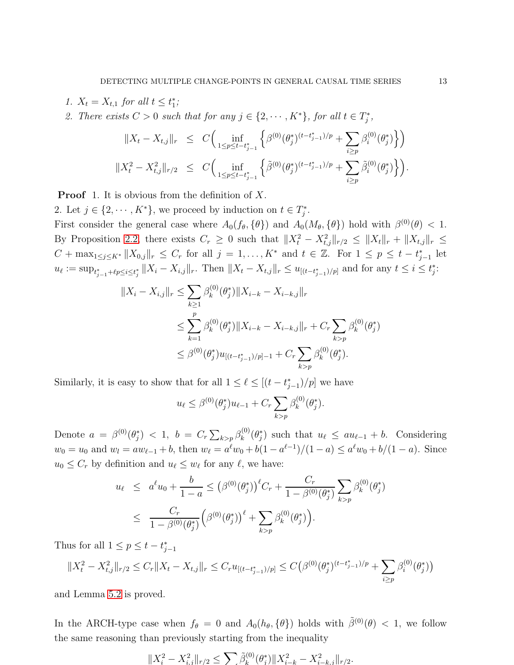1.  $X_t = X_{t,1}$  for all  $t \leq t_1^*$ ;

2. There exists  $C > 0$  such that for any  $j \in \{2, \dots, K^*\}$ , for all  $t \in T_j^*$ ,

$$
||X_t - X_{t,j}||_r \leq C \Big( \inf_{1 \leq p \leq t - t_{j-1}^*} \Big\{ \beta^{(0)}(\theta_j^*)^{(t - t_{j-1}^*)/p} + \sum_{i \geq p} \beta_i^{(0)}(\theta_j^*) \Big\} \Big)
$$
  

$$
||X_t^2 - X_{t,j}^2||_{r/2} \leq C \Big( \inf_{1 \leq p \leq t - t_{j-1}^*} \Big\{ \tilde{\beta}^{(0)}(\theta_j^*)^{(t - t_{j-1}^*)/p} + \sum_{i \geq p} \tilde{\beta}_i^{(0)}(\theta_j^*) \Big\} \Big).
$$

**Proof** 1. It is obvious from the definition of  $X$ .

2. Let  $j \in \{2, \dots, K^*\}$ , we proceed by induction on  $t \in T_j^*$ .

First consider the general case where  $A_0(f_\theta, \{\theta\})$  and  $A_0(M_\theta, \{\theta\})$  hold with  $\beta^{(0)}(\theta) < 1$ . By Proposition [2.2,](#page-4-1) there exists  $C_r \geq 0$  such that  $||X_t^2 - X_{t,j}^2||_{r/2} \leq ||X_t||_r + ||X_{t,j}||_r \leq$  $C + \max_{1 \leq j \leq K^*} ||X_{0,j}||_r \leq C_r$  for all  $j = 1, ..., K^*$  and  $t \in \mathbb{Z}$ . For  $1 \leq p \leq t - t_{j-1}^*$  let  $u_{\ell} := \sup_{t_{j-1}^* + \ell p \leq i \leq t_j^*} ||X_i - X_{i,j}||_r$ . Then  $||X_t - X_{t,j}||_r \leq u_{[(t-t_{j-1}^*)/p]}$  and for any  $t \leq i \leq t_j^*$ :

$$
||X_i - X_{i,j}||_r \le \sum_{k\ge 1} \beta_k^{(0)}(\theta_j^*) ||X_{i-k} - X_{i-k,j}||_r
$$
  

$$
\le \sum_{k=1}^p \beta_k^{(0)}(\theta_j^*) ||X_{i-k} - X_{i-k,j}||_r + C_r \sum_{k>p} \beta_k^{(0)}(\theta_j^*)
$$
  

$$
\le \beta^{(0)}(\theta_j^*) u_{[(t-t_{j-1}^*)/p]-1} + C_r \sum_{k>p} \beta_k^{(0)}(\theta_j^*).
$$

Similarly, it is easy to show that for all  $1 \leq \ell \leq [(t - t_{j-1}^*)/p]$  we have

$$
u_{\ell} \leq \beta^{(0)}(\theta_j^*) u_{\ell-1} + C_r \sum_{k > p} \beta_k^{(0)}(\theta_j^*).
$$

Denote  $a = \beta^{(0)}(\theta_j^*) < 1, b = C_r \sum_{k > p} \beta_k^{(0)}$  $u_k^{(0)}(\theta_j^*)$  such that  $u_\ell \leq au_{\ell-1} + b$ . Considering  $w_0 = u_0$  and  $w_l = aw_{l-1} + b$ , then  $w_l = a^l w_0 + b(1 - a^{l-1})/(1 - a) \le a^l w_0 + b/(1 - a)$ . Since  $u_0 \leq C_r$  by definition and  $u_\ell \leq w_\ell$  for any  $\ell$ , we have:

$$
u_{\ell} \leq a^{\ell} u_0 + \frac{b}{1-a} \leq (\beta^{(0)}(\theta_j^*))^{\ell} C_r + \frac{C_r}{1-\beta^{(0)}(\theta_j^*)} \sum_{k > p} \beta_k^{(0)}(\theta_j^*)
$$
  

$$
\leq \frac{C_r}{1-\beta^{(0)}(\theta_j^*)} (\beta^{(0)}(\theta_j^*))^{\ell} + \sum_{k > p} \beta_k^{(0)}(\theta_j^*)
$$
.

Thus for all  $1 \le p \le t - t_{j-1}^*$ 

$$
||X_t^2 - X_{t,j}^2||_{r/2} \le C_r ||X_t - X_{t,j}||_r \le C_r u_{[(t - t_{j-1}^*)/p]} \le C(\beta^{(0)}(\theta_j^*)^{(t - t_{j-1}^*)/p} + \sum_{i \ge p} \beta_i^{(0)}(\theta_j^*)
$$

and Lemma [5.2](#page-11-0) is proved.

In the ARCH-type case when  $f_{\theta} = 0$  and  $A_0(h_{\theta}, {\theta})$  holds with  $\tilde{\beta}^{(0)}(\theta) < 1$ , we follow the same reasoning than previously starting from the inequality

$$
||X_i^2 - X_{i,j}^2||_{r/2} \le \sum \tilde{\beta}_k^{(0)}(\theta_i^*) ||X_{i-k}^2 - X_{i-k,j}^2||_{r/2}.
$$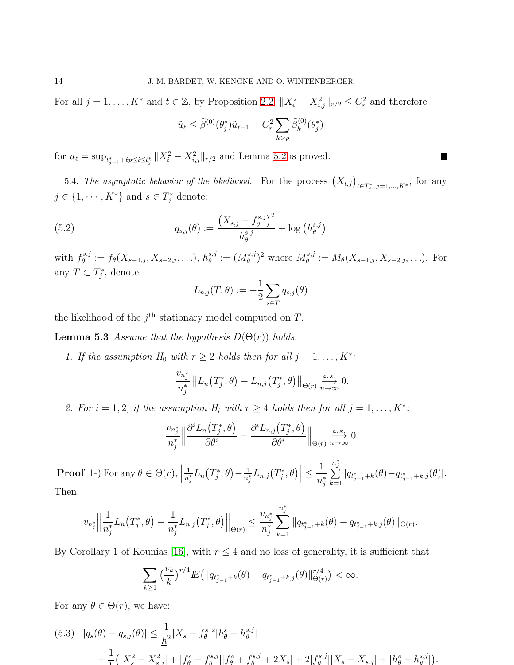For all  $j = 1, ..., K^*$  and  $t \in \mathbb{Z}$ , by Proposition [2.2,](#page-4-1)  $||X_i^2 - X_{i,j}^2||_{r/2} \leq C_r^2$  and therefore

$$
\tilde{u}_{\ell} \leq \tilde{\beta}^{(0)}(\theta_j^*) \tilde{u}_{\ell-1} + C_r^2 \sum_{k > p} \tilde{\beta}_k^{(0)}(\theta_j^*)
$$

 $\Box$ 

for  $\tilde{u}_{\ell} = \sup_{t_{j-1}^* + \ell p \leq i \leq t_j^*} ||X_i^2 - X_{i,j}^2||_{r/2}$  and Lemma [5.2](#page-11-0) is proved.

5.4. *The asymptotic behavior of the likelihood.* For the process  $(X_{t,j})_{t \in T_j^*, j=1,\dots,K^*}$ , for any  $j \in \{1, \cdots, K^*\}$  and  $s \in T_j^*$  denote:

(5.2) 
$$
q_{s,j}(\theta) := \frac{(X_{s,j} - f_{\theta}^{s,j})^2}{h_{\theta}^{s,j}} + \log (h_{\theta}^{s,j})
$$

with  $f_{\theta}^{s,j}$  $\mathcal{E}_{\theta}^{s,j} := f_{\theta}(X_{s-1,j}, X_{s-2,j}, \ldots), h_{\theta}^{s,j}$  $_{\theta}^{s,j}:=(M_{\theta}^{s,j}% ,M_{\theta}^{s,j})^{\ast}$  $(\theta^{s,j})^2$  where  $M_{\theta}^{s,j}$  $\mathcal{E}_{\theta}^{s,j} := M_{\theta}(X_{s-1,j}, X_{s-2,j}, \ldots)$ . For any  $T \subset T_j^*$ , denote

<span id="page-13-2"></span><span id="page-13-0"></span>
$$
L_{n,j}(T,\theta) := -\frac{1}{2} \sum_{s \in T} q_{s,j}(\theta)
$$

the likelihood of the  $j<sup>th</sup>$  stationary model computed on T.

**Lemma 5.3** Assume that the hypothesis  $D(\Theta(r))$  holds.

1. If the assumption  $H_0$  with  $r \geq 2$  holds then for all  $j = 1, ..., K^*$ :

$$
\frac{v_{n_j^*}}{n_j^*} || L_n(T_j^*, \theta) - L_{n,j}(T_j^*, \theta) ||_{\Theta(r)} \xrightarrow[n \to \infty]{\mathfrak{a.s.}} 0.
$$

2. For  $i = 1, 2$ , if the assumption  $H_i$  with  $r \geq 4$  holds then for all  $j = 1, ..., K^*$ :

$$
\frac{v_{n^*_j}}{n^*_j} \Big\| \frac{\partial^i L_n(T^*_j, \theta)}{\partial \theta^i} - \frac{\partial^i L_{n,j}(T^*_j, \theta)}{\partial \theta^i} \Big\|_{\Theta(r)} \xrightarrow[n \to \infty]{\text{a.s.}} 0.
$$

**Proof** 1-) For any  $\theta \in \Theta(r)$ , 1  $\frac{1}{n_j^*}L_n\big(T_j^*,\theta\big)-\frac{1}{n_j^*}$  $\frac{1}{n_j^*}L_{n,j}(T_j^*,\theta)\Big|\leq$ 1  $n_j^*$  $n_i^*$  $\sum_{j}^{n_j}$  $\sum_{k=1} |q_{t_{j-1}+k}(\theta)-q_{t_{j-1}+k,j}(\theta)|.$ Then:

$$
v_{n_j^*} \Big\|\frac{1}{n_j^*}L_n(T_j^*,\theta) - \frac{1}{n_j^*}L_{n,j}(T_j^*,\theta)\Big\|_{\Theta(r)} \le \frac{v_{n_j^*}}{n_j^*} \sum_{k=1}^{n_j^*} \|q_{t_{j-1}^*+k}(\theta) - q_{t_{j-1}^*+k,j}(\theta)\|_{\Theta(r)}.
$$

By Corollary 1 of Kounias [\[16\]](#page-24-12), with  $r \leq 4$  and no loss of generality, it is sufficient that

$$
\sum_{k\geq 1} \left(\frac{v_k}{k}\right)^{r/4} E\left(\left\|q_{t_{j-1}^*+k}(\theta)-q_{t_{j-1}^*+k,j}(\theta)\right\|_{\Theta(r)}^{r/4}\right)<\infty.
$$

For any  $\theta \in \Theta(r)$ , we have:

<span id="page-13-1"></span>
$$
(5.3) \quad |q_s(\theta) - q_{s,j}(\theta)| \le \frac{1}{\underline{h}^2} |X_s - f_\theta^s|^2 |h_\theta^s - h_\theta^{s,j}|
$$
  
+ 
$$
\frac{1}{\tau} (|X_s^2 - X_{s,j}^2| + |f_\theta^s - f_\theta^{s,j}| |f_\theta^s + f_\theta^{s,j} + 2X_s| + 2|f_\theta^{s,j}| |X_s - X_{s,j}| + |h_\theta^s - h_\theta^{s,j}|).
$$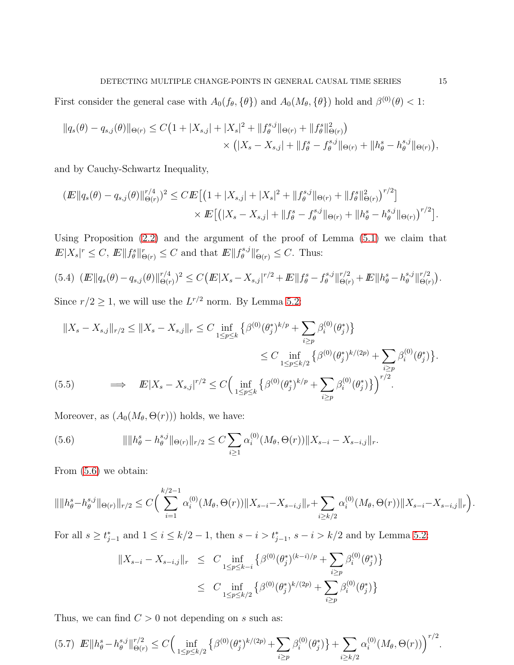First consider the general case with  $A_0(f_\theta, \{\theta\})$  and  $A_0(M_\theta, \{\theta\})$  hold and  $\beta^{(0)}(\theta) < 1$ :

$$
||q_s(\theta) - q_{s,j}(\theta)||_{\Theta(r)} \le C\left(1 + |X_{s,j}| + |X_s|^2 + ||f_{\theta}^{s,j}||_{\Theta(r)} + ||f_{\theta}^s||_{\Theta(r)}^2\right) \times (|X_s - X_{s,j}| + ||f_{\theta}^s - f_{\theta}^{s,j}||_{\Theta(r)} + ||h_{\theta}^s - h_{\theta}^{s,j}||_{\Theta(r)}),
$$

and by Cauchy-Schwartz Inequality,

$$
(E||q_s(\theta) - q_{s,j}(\theta)||_{\Theta(r)}^{r/4})^2 \leq C E\left[ \left(1 + |X_{s,j}| + |X_s|^2 + \|f_{\theta}^{s,j}\|_{\Theta(r)} + \|f_{\theta}^s\|_{\Theta(r)}^2 \right)^{r/2} \right] \times E\left[ \left( |X_s - X_{s,j}| + \|f_{\theta}^s - f_{\theta}^{s,j}\|_{\Theta(r)} + \|h_{\theta}^s - h_{\theta}^{s,j}\|_{\Theta(r)} \right)^{r/2} \right].
$$

Using Proposition [\(2.2\)](#page-4-1) and the argument of the proof of Lemma [\(5.1\)](#page-11-1) we claim that  $E|X_s|^r \leq C, E||f^s_{\theta}||^r_{\Theta(r)} \leq C$  and that  $E||f^{s,j}_{\theta}$  $\|\theta^{s,j}\|_{\Theta(r)}^r \leq C.$  Thus:

<span id="page-14-1"></span>
$$
(5.4) \ (E||q_s(\theta) - q_{s,j}(\theta)||_{\Theta(r)}^{r/4})^2 \leq C(E|X_s - X_{s,j}|^{r/2} + E||f_{\theta}^s - f_{\theta}^{s,j}||_{\Theta(r)}^{r/2} + E||h_{\theta}^s - h_{\theta}^{s,j}||_{\Theta(r)}^{r/2}).
$$

Since  $r/2 \ge 1$ , we will use the  $L^{r/2}$  norm. By Lemma [5.2:](#page-11-0)

$$
||X_s - X_{s,j}||_{r/2} \le ||X_s - X_{s,j}||_r \le C \inf_{1 \le p \le k} \{ \beta^{(0)}(\theta_j^*)^{k/p} + \sum_{i \ge p} \beta_i^{(0)}(\theta_j^*) \}
$$
  
\n
$$
\le C \inf_{1 \le p \le k/2} \{ \beta^{(0)}(\theta_j^*)^{k/(2p)} + \sum_{i \ge p} \beta_i^{(0)}(\theta_j^*) \}.
$$
  
\n(5.5) 
$$
\implies \mathbb{E}|X_s - X_{s,j}|^{r/2} \le C \Big( \inf_{1 \le p \le k} \{ \beta^{(0)}(\theta_j^*)^{k/p} + \sum_{i \ge p} \beta_i^{(0)}(\theta_j^*) \} \Big)^{r/2}.
$$

<span id="page-14-2"></span>Moreover, as  $(A_0(M_\theta, \Theta(r)))$  holds, we have:

<span id="page-14-0"></span>(5.6) 
$$
\|\|h_{\theta}^s - h_{\theta}^{s,j}\|_{\Theta(r)}\|_{r/2} \leq C \sum_{i \geq 1} \alpha_i^{(0)}(M_{\theta}, \Theta(r)) \|X_{s-i} - X_{s-i,j}\|_{r}.
$$

From [\(5.6\)](#page-14-0) we obtain:

$$
\|\|h_{\theta}^{s}-h_{\theta}^{s,j}\|_{\Theta(r)}\|_{r/2}\leq C\bigg(\sum_{i=1}^{k/2-1}\alpha_{i}^{(0)}(M_{\theta},\Theta(r))\|X_{s-i}-X_{s-i,j}\|_{r}+\sum_{i\geq k/2}\alpha_{i}^{(0)}(M_{\theta},\Theta(r))\|X_{s-i}-X_{s-i,j}\|_{r}\bigg).
$$

For all  $s \ge t_{j-1}^*$  and  $1 \le i \le k/2 - 1$ , then  $s - i > t_{j-1}^*$ ,  $s - i > k/2$  and by Lemma [5.2:](#page-11-0)

$$
||X_{s-i} - X_{s-i,j}||_r \leq C \inf_{1 \leq p \leq k-i} \{ \beta^{(0)}(\theta_j^*)^{(k-i)/p} + \sum_{i \geq p} \beta_i^{(0)}(\theta_j^*) \}
$$
  

$$
\leq C \inf_{1 \leq p \leq k/2} \{ \beta^{(0)}(\theta_j^*)^{k/(2p)} + \sum_{i \geq p} \beta_i^{(0)}(\theta_j^*) \}
$$

Thus, we can find  $C > 0$  not depending on s such as:

<span id="page-14-3"></span>
$$
(5.7) \quad E\|h^s_{\theta} - h^{s,j}_{\theta}\|^{r/2}_{\Theta(r)} \le C\Big(\inf_{1 \le p \le k/2} \left\{\beta^{(0)}(\theta^*_j)^{k/(2p)} + \sum_{i \ge p} \beta^{(0)}_i(\theta^*_j)\right\} + \sum_{i \ge k/2} \alpha^{(0)}_i(M_{\theta}, \Theta(r))\Big)^{r/2}.
$$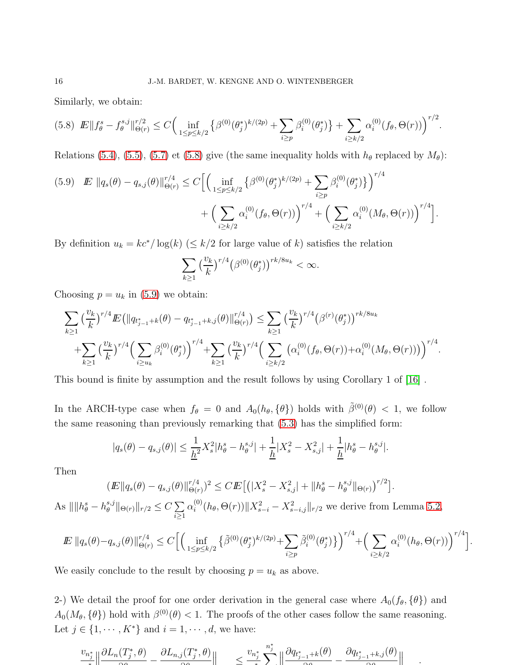Similarly, we obtain:

<span id="page-15-0"></span>
$$
(5.8) \ \ E\|f_{\theta}^s - f_{\theta}^{s,j}\|_{\Theta(r)}^{r/2} \le C \Big( \inf_{1 \le p \le k/2} \left\{ \beta^{(0)}(\theta_j^*)^{k/(2p)} + \sum_{i \ge p} \beta_i^{(0)}(\theta_j^*) \right\} + \sum_{i \ge k/2} \alpha_i^{(0)}(f_{\theta}, \Theta(r)) \Big)^{r/2}.
$$

Relations [\(5.4\)](#page-14-1), [\(5.5\)](#page-14-2), [\(5.7\)](#page-14-3) et [\(5.8\)](#page-15-0) give (the same inequality holds with  $h_{\theta}$  replaced by  $M_{\theta}$ ):

<span id="page-15-1"></span>
$$
(5.9) \quad E \, \|q_s(\theta) - q_{s,j}(\theta)\|_{\Theta(r)}^{r/4} \leq C \Big[ \Big( \inf_{1 \leq p \leq k/2} \{ \beta^{(0)}(\theta_j^*)^{k/(2p)} + \sum_{i \geq p} \beta_i^{(0)}(\theta_j^*) \} \Big)^{r/4} + \Big( \sum_{i \geq k/2} \alpha_i^{(0)}(f_\theta, \Theta(r)) \Big)^{r/4} + \Big( \sum_{i \geq k/2} \alpha_i^{(0)}(M_\theta, \Theta(r)) \Big)^{r/4} \Big].
$$

By definition  $u_k = kc^*/\log(k)$  ( $\leq k/2$  for large value of k) satisfies the relation

$$
\sum_{k\geq 1} \left(\frac{v_k}{k}\right)^{r/4} \left(\beta^{(0)}(\theta_j^*)\right)^{rk/8u_k} < \infty.
$$

Choosing  $p = u_k$  in [\(5.9\)](#page-15-1) we obtain:

$$
\sum_{k\geq 1} \left(\frac{v_k}{k}\right)^{r/4} E\left(\left\|q_{t_{j-1}^*+k}(\theta) - q_{t_{j-1}^*+k,j}(\theta)\right\|_{\Theta(r)}^{r/4}\right) \leq \sum_{k\geq 1} \left(\frac{v_k}{k}\right)^{r/4} \left(\beta^{(r)}(\theta_j^*)\right)^{rk/8u_k} + \sum_{k\geq 1} \left(\frac{v_k}{k}\right)^{r/4} \left(\sum_{i\geq k/2} \beta_i^{(0)}(\theta_j^*)\right)^{r/4} + \sum_{k\geq 1} \left(\frac{v_k}{k}\right)^{r/4} \left(\sum_{i\geq k/2} \left(\alpha_i^{(0)}(f_\theta, \Theta(r)) + \alpha_i^{(0)}(M_\theta, \Theta(r))\right)\right)^{r/4}.
$$

This bound is finite by assumption and the result follows by using Corollary 1 of [\[16\]](#page-24-12) .

In the ARCH-type case when  $f_{\theta} = 0$  and  $A_0(h_{\theta}, {\theta})$  holds with  $\tilde{\beta}^{(0)}(\theta) < 1$ , we follow the same reasoning than previously remarking that [\(5.3\)](#page-13-1) has the simplified form:

$$
|q_s(\theta) - q_{s,j}(\theta)| \le \frac{1}{\underline{h}^2} X_s^2 |h_\theta^s - h_\theta^{s,j}| + \frac{1}{\underline{h}} |X_s^2 - X_{s,j}^2| + \frac{1}{\underline{h}} |h_\theta^s - h_\theta^{s,j}|.
$$

Then

$$
(I\!\!E \|q_s(\theta) - q_{s,j}(\theta)\|_{\Theta(r)}^{r/4})^2 \leq C I\!\!E \big[ \big( |X_s^2 - X_{s,j}^2| + \|h_\theta^s - h_\theta^{s,j}\|_{\Theta(r)} \big)^{r/2} \big].
$$

As  $\|\|h_{\theta}^s - h_{\theta}^{s,j}\|$  $\mathbb{E}_{\theta}^{s,j}$   $\|\Theta(r)\|_{r/2} \leq C \sum_{i\geq 1}$  $i \geq 1$  $\alpha_i^{(0)}$  $\mathcal{E}_{i}^{(0)}(h_{\theta}, \Theta(r))||X_{s-i}^{2} - X_{s-i,j}^{2}||_{r/2}$  we derive from Lemma [5.2,](#page-11-0)

$$
I\!\!E \, \|q_s(\theta) - q_{s,j}(\theta)\|_{\Theta(r)}^{r/4} \leq C \Big[ \Big( \inf_{1 \leq p \leq k/2} \left\{ \tilde{\beta}^{(0)}(\theta_j^*)^{k/(2p)} + \sum_{i \geq p} \tilde{\beta}_i^{(0)}(\theta_j^*) \right\} \Big)^{r/4} + \Big( \sum_{i \geq k/2} \alpha_i^{(0)}(h_\theta, \Theta(r)) \Big)^{r/4} \Big].
$$

We easily conclude to the result by choosing  $p = u_k$  as above.

2-) We detail the proof for one order derivation in the general case where  $A_0(f_\theta, \{\theta\})$  and  $A_0(M_\theta, {\theta})$  hold with  $\beta^{(0)}(\theta) < 1$ . The proofs of the other cases follow the same reasoning. Let  $j \in \{1, \dots, K^*\}$  and  $i = 1, \dots, d$ , we have:

$$
\frac{v_{n_j^*}}{\left\| \frac{\partial L_n(T_j^*,\theta)}{\partial \theta} - \frac{\partial L_{n,j}(T_j^*,\theta)}{\partial \theta} \right\|} \le \frac{v_{n_j^*}}{\left\| \sum_{j=1}^{n_j^*} \left\| \frac{\partial q_{t_{j-1}^*+k}(\theta)}{\partial \theta} - \frac{\partial q_{t_{j-1}^*+k,j}(\theta)}{\partial \theta} \right\|} \quad .
$$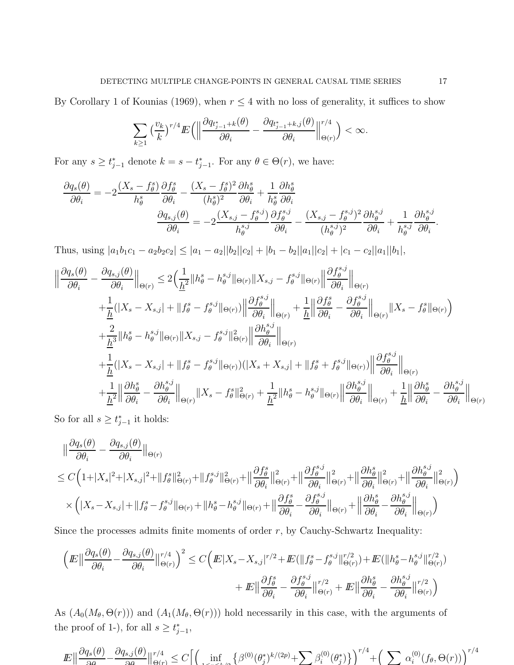By Corollary 1 of Kounias (1969), when  $r \leq 4$  with no loss of generality, it suffices to show

$$
\sum_{k\geq 1}\left(\frac{v_k}{k}\right)^{r/4}I\!\!E\Big(\Big\|\frac{\partial q_{t_{j-1}^*+k}(\theta)}{\partial \theta_i}-\frac{\partial q_{t_{j-1}^*+k,j}(\theta)}{\partial \theta_i}\Big\|_{\Theta(r)}^{r/4}\Big)<\infty.
$$

For any  $s \geq t_{j-1}^*$  denote  $k = s - t_{j-1}^*$ . For any  $\theta \in \Theta(r)$ , we have:

$$
\frac{\partial q_s(\theta)}{\partial \theta_i} = -2 \frac{(X_s - f_\theta^s)}{h_\theta^s} \frac{\partial f_\theta^s}{\partial \theta_i} - \frac{(X_s - f_\theta^s)^2}{(h_\theta^s)^2} \frac{\partial h_\theta^s}{\partial \theta_i} + \frac{1}{h_\theta^s} \frac{\partial h_\theta^s}{\partial \theta_i}
$$

$$
\frac{\partial q_{s,j}(\theta)}{\partial \theta_i} = -2 \frac{(X_{s,j} - f_\theta^{s,j})}{h_\theta^{s,j}} \frac{\partial f_\theta^{s,j}}{\partial \theta_i} - \frac{(X_{s,j} - f_\theta^{s,j})^2}{(h_\theta^{s,j})^2} \frac{\partial h_\theta^{s,j}}{\partial \theta_i} + \frac{1}{h_\theta^{s,j}} \frac{\partial h_\theta^{s,j}}{\partial \theta_i}
$$

Thus, using  $|a_1b_1c_1 - a_2b_2c_2| \le |a_1 - a_2||b_2||c_2| + |b_1 - b_2||a_1||c_2| + |c_1 - c_2||a_1||b_1|$ ,

$$
\begin{split} \Big\|\frac{\partial q_s(\theta)}{\partial\theta_i} - \frac{\partial q_{s,j}(\theta)}{\partial\theta_i}\Big\|_{\Theta(r)} &\leq 2\Big(\frac{1}{\underline{h}^2}\|h^s_\theta - h^{s,j}_\theta\|_{\Theta(r)}\|X_{s,j} - f^{s,j}_\theta\|_{\Theta(r)}\Big\|\frac{\partial f^{s,j}_\theta}{\partial\theta_i}\Big\|_{\Theta(r)} \\ &\quad + \frac{1}{\underline{h}}(|X_s - X_{s,j}| + \|f^s_\theta - f^{s,j}_\theta\|_{\Theta(r)})\Big\|\frac{\partial f^{s,j}_\theta}{\partial\theta_i}\Big\|_{\Theta(r)} + \frac{1}{\underline{h}}\Big\|\frac{\partial f^s_\theta}{\partial\theta_i} - \frac{\partial f^{s,j}_\theta}{\partial\theta_i}\Big\|_{\Theta(r)}\|X_s - f^s_\theta\|_{\Theta(r)}\Big) \\ &\quad + \frac{2}{\underline{h}^3}\|h^s_\theta - h^{s,j}_\theta\|_{\Theta(r)}\|X_{s,j} - f^{s,j}_\theta\|_{\Theta(r)}\Big\|\frac{\partial h^{s,j}_\theta}{\partial\theta_i}\Big\|_{\Theta(r)} \\ &\quad + \frac{1}{\underline{h}}(|X_s - X_{s,j}| + \|f^s_\theta - f^{s,j}_\theta\|_{\Theta(r)})\big(|X_s + X_{s,j}| + \|f^s_\theta + f^{s,j}_\theta\|_{\Theta(r)}\big)\Big\|\frac{\partial f^{s,j}_\theta}{\partial\theta_i}\Big\|_{\Theta(r)} \\ &\quad + \frac{1}{\underline{h}^2}\Big\|\frac{\partial h^s_\theta}{\partial\theta_i} - \frac{\partial h^{s,j}_\theta}{\partial\theta_i}\Big\|_{\Theta(r)}\|X_s - f^s_\theta\|_{\Theta(r)}^2 + \frac{1}{\underline{h}^2}\|h^s_\theta - h^{s,j}_\theta\|_{\Theta(r)}\Big\|\frac{\partial h^{s,j}_\theta}{\partial\theta_i}\Big\|_{\Theta(r)} + \frac{1}{\underline{h}}\Big\|\frac{\partial h^s_\theta}{\partial\theta_i} - \frac{\partial h^{s,j}_\theta}{\partial\theta_i}\Big\|_{\Theta(r)} \end{split}
$$

So for all  $s \geq t_{j-1}^*$  it holds:

$$
\|\frac{\partial q_s(\theta)}{\partial \theta_i} - \frac{\partial q_{s,j}(\theta)}{\partial \theta_i}\|_{\Theta(r)}
$$
\n
$$
\leq C\Big(1+|X_s|^2+|X_{s,j}|^2+\|f^s_\theta\|_{\Theta(r)}^2+\|f^{s,j}_\theta\|_{\Theta(r)}^2+\|\frac{\partial f^s_\theta}{\partial \theta_i}\|_{\Theta(r)}^2+\|\frac{\partial f^{s,j}_\theta}{\partial \theta_i}\|_{\Theta(r)}^2+\|\frac{\partial h^s_\theta}{\partial \theta_i}\|_{\Theta(r)}^2+\|\frac{\partial h^s_\theta}{\partial \theta_i}\|_{\Theta(r)}^2+\|\frac{\partial h^s_\theta}{\partial \theta_i}\|_{\Theta(r)}^2\Big)
$$
\n
$$
\times \Big(|X_s-X_{s,j}|+\|f^s_\theta-f^{s,j}_\theta\|_{\Theta(r)}+\|h^s_\theta-h^{s,j}_\theta\|_{\Theta(r)}+\|\frac{\partial f^s_\theta}{\partial \theta_i}-\frac{\partial f^{s,j}_\theta}{\partial \theta_i}\|_{\Theta(r)}+\|\frac{\partial h^s_\theta}{\partial \theta_i}-\frac{\partial h^s_\theta}{\partial \theta_i}\|_{\Theta(r)}\Big)
$$

Since the processes admits finite moments of order  $r$ , by Cauchy-Schwartz Inequality:

$$
\left( E \left\| \frac{\partial q_s(\theta)}{\partial \theta_i} - \frac{\partial q_{s,j}(\theta)}{\partial \theta_i} \right\|_{\Theta(r)}^{r/4} \right)^2 \le C \left( E|X_s - X_{s,j}|^{r/2} + E(\|f^s_{\theta} - f^{s,j}_{\theta}\|_{\Theta(r)}^{r/2}) + E(\|h^s_{\theta} - h^{s,j}_{\theta}\|_{\Theta(r)}^{r/2}) + E\| \frac{\partial f^s_{\theta}}{\partial \theta_i} - \frac{\partial f^{s,j}_{\theta}}{\partial \theta_i} \|_{\Theta(r)}^{r/2} + E\| \frac{\partial h^s_{\theta}}{\partial \theta_i} - \frac{\partial h^{s,j}_{\theta}}{\partial \theta_i} \|_{\Theta(r)}^{r/2} \right)
$$

As  $(A_0(M_\theta, \Theta(r)))$  and  $(A_1(M_\theta, \Theta(r)))$  hold necessarily in this case, with the arguments of the proof of 1-), for all  $s \geq t_{j-1}^*$ ,

$$
\mathbb{E}\big\|\frac{\partial q_s(\theta)}{\partial \theta} - \frac{\partial q_{s,j}(\theta)}{\partial \theta}\big\|_{\Theta(r)}^{r/4} \le C\Big\|\Big(\inf_{1 \le i \le l/2} \big\{\beta^{(0)}(\theta_j^*)^{k/(2p)} + \sum \beta_i^{(0)}(\theta_j^*)\big\}\Big)^{r/4} + \Big(\sum \alpha_i^{(0)}(f_\theta, \Theta(r))\Big)^{r/4}
$$

.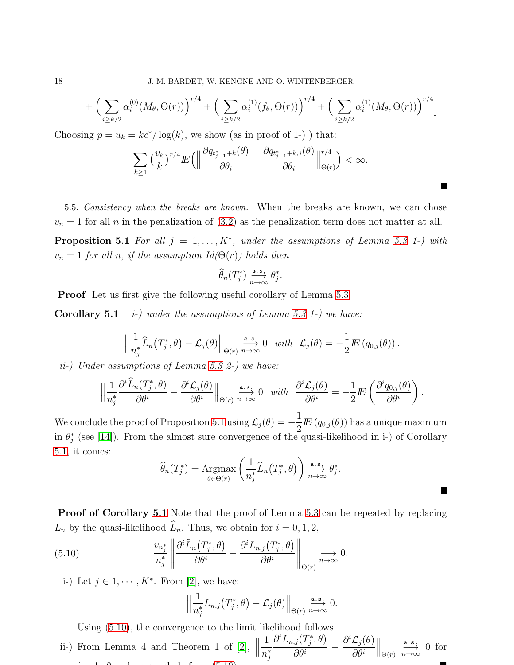$$
+\left(\sum_{i\geq k/2} \alpha_i^{(0)}(M_\theta,\Theta(r))\right)^{r/4} + \left(\sum_{i\geq k/2} \alpha_i^{(1)}(f_\theta,\Theta(r))\right)^{r/4} + \left(\sum_{i\geq k/2} \alpha_i^{(1)}(M_\theta,\Theta(r))\right)^{r/4}\bigg]
$$

Choosing  $p = u_k = kc^*/\log(k)$ , we show (as in proof of 1-)) that:

$$
\sum_{k\geq 1} \left(\frac{v_k}{k}\right)^{r/4} E\left(\left\|\frac{\partial q_{t_{j-1}^*+k}(\theta)}{\partial \theta_i} - \frac{\partial q_{t_{j-1}^*+k,j}(\theta)}{\partial \theta_i}\right\|_{\Theta(r)}^{r/4}\right) < \infty.
$$

5.5. *Consistency when the breaks are known.* When the breaks are known, we can chose  $v_n = 1$  for all n in the penalization of  $(3.2)$  as the penalization term does not matter at all. **Proposition 5.1** For all  $j = 1, ..., K^*$ , under the assumptions of Lemma [5.3](#page-13-2) 1-) with  $v_n = 1$  for all n, if the assumption  $Id(\Theta(r))$  holds then

<span id="page-17-1"></span><span id="page-17-0"></span>
$$
\widehat{\theta}_n(T^*_j) \overset{\text{a.s.}}{\underset{n\to\infty}\longrightarrow} \theta^*_j.
$$

Proof Let us first give the following useful corollary of Lemma [5.3](#page-13-2)

**Corollary 5.1** *i-)* under the assumptions of Lemma [5.3](#page-13-2) 1-) we have:

$$
\left\|\frac{1}{n_j^*}\widehat{L}_n(T_j^*,\theta)-\mathcal{L}_j(\theta)\right\|_{\Theta(r)}\stackrel{a.s.}{\underset{n\to\infty}{\longrightarrow}}0 \text{ with }\mathcal{L}_j(\theta)=-\frac{1}{2}I\!\!E(q_{0,j}(\theta)).
$$

ii-) Under assumptions of Lemma [5.3](#page-13-2) 2-) we have:

$$
\left\|\frac{1}{n_j^*}\frac{\partial^i \widehat{L}_n(T_j^*,\theta)}{\partial \theta^i} - \frac{\partial^i \mathcal{L}_j(\theta)}{\partial \theta^i}\right\|_{\Theta(r)} \xrightarrow[n \to \infty]{} 0 \quad with \quad \frac{\partial^i \mathcal{L}_j(\theta)}{\partial \theta^i} = -\frac{1}{2}I\!\!E\left(\frac{\partial^i q_{0,j}(\theta)}{\partial \theta^i}\right).
$$

We conclude the proof of Proposition [5.1](#page-17-0) using  $\mathcal{L}_j(\theta) = -$ 1  $\frac{1}{2}E(g_{0,j}(\theta))$  has a unique maximum in  $\theta_j^*$  (see [\[14\]](#page-24-6)). From the almost sure convergence of the quasi-likelihood in i-) of Corollary [5.1,](#page-17-1) it comes:

$$
\widehat{\theta}_n(T_j^*) = \underset{\theta \in \Theta(r)}{\text{Argmax}} \left( \frac{1}{n_j^*} \widehat{L}_n(T_j^*, \theta) \right) \underset{n \to \infty}{\overset{\text{a.s.}}{\longrightarrow}} \theta_j^*.
$$

П

Proof of Corollary [5.1](#page-17-1) Note that the proof of Lemma [5.3](#page-13-2) can be repeated by replacing  $L_n$  by the quasi-likelihood  $\widehat{L}_n$ . Thus, we obtain for  $i = 0, 1, 2$ ,

(5.10) 
$$
\frac{v_{n_j^*}}{n_j^*} \left\| \frac{\partial^i \widehat{L}_n(T_j^*, \theta)}{\partial \theta^i} - \frac{\partial^i L_{n,j}(T_j^*, \theta)}{\partial \theta^i} \right\|_{\Theta(r)} \xrightarrow[n \to \infty]{} 0.
$$

i-) Let  $j \in 1, \dots, K^*$ . From [\[2\]](#page-23-2), we have:

<span id="page-17-2"></span>
$$
\left\|\frac{1}{n_j^*}L_{n,j}(T_j^*,\theta)-\mathcal{L}_j(\theta)\right\|_{\Theta(r)}\stackrel{\text{a.s.}}{\underset{n\to\infty}\longrightarrow}0.
$$

Using [\(5.10\)](#page-17-2), the convergence to the limit likelihood follows.

ii-) From Lemma 4 and Theorem 1 of [\[2\]](#page-23-2),  $\parallel$ 1  $n_j^*$  $\partial^i L_{n,j}(T_j^*,\theta)$  $\frac{1}{\partial \theta^i}$  –  $\partial^i \mathcal{L}_j(\theta)$  $\partial \theta^i$  $\Big\|_{\Theta(r)}$ a.s.  $\frac{\Delta \cdot s}{n \to \infty}$  0 for  $\therefore$  1, 2 and we conclude from [\(5.10\)](#page-17-2).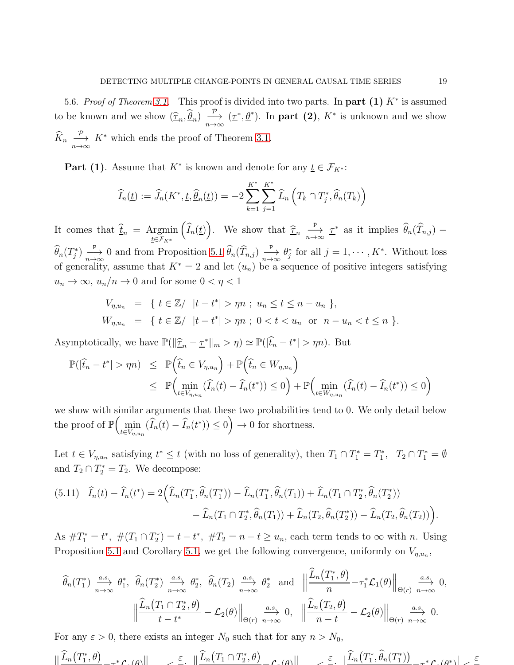5.6. *Proof of Theorem 3.1*. This proof is divided into two parts. In part  $(1)$  K<sup>\*</sup> is assumed to be known and we show  $(\widehat{\tau}_n, \widehat{\theta}_n) \stackrel{\mathcal{P}}{\longrightarrow} (\underline{\tau}^*, \underline{\theta}^*)$ . In **part (2)**,  $K^*$  is unknown and we show  $\widehat{K}_n \xrightarrow[n \to \infty]{\mathcal{P}} K^*$  which ends the proof of Theorem [3.1.](#page-7-4)

**Part (1)**. Assume that  $K^*$  is known and denote for any  $\underline{t} \in \mathcal{F}_{K^*}$ :

$$
\widehat{I}_n(\underline{t}) := \widehat{J}_n(K^*, \underline{t}, \widehat{\underline{\theta}}_n(\underline{t})) = -2 \sum_{k=1}^{K^*} \sum_{j=1}^{K^*} \widehat{L}_n\left(T_k \cap T_j^*, \widehat{\theta}_n(T_k)\right)
$$

It comes that  $\underline{t}_n = \underset{\underline{t} \in \mathcal{F}_{K^*}}{\text{Argmin}}$  $(\widehat{I}_n(\underline{t}))$ . We show that  $\widehat{\underline{\tau}}_n \xrightarrow[n \to \infty]{\mathbb{P}}$  $\frac{P}{n\to\infty}$   $\underline{\tau}^*$  as it implies  $\widehat{\theta}_n(\widehat{T}_{n,j})$  –  $\widehat{\theta}_n(T_j^*) \frac{P}{n-j}$  $\frac{P}{n\to\infty}$  0 and from Proposition [5.1](#page-17-0)  $\widehat{\theta}_n(\widehat{T}_{n,j})$   $\frac{P}{n\to\infty}$  $\frac{P}{n\rightarrow\infty}$   $\theta_j^*$  for all  $j=1,\cdots,K^*$ . Without loss of generality, assume that  $K^* = 2$  and let  $(u_n)$  be a sequence of positive integers satisfying  $u_n \to \infty$ ,  $u_n/n \to 0$  and for some  $0 < \eta < 1$ 

$$
V_{\eta, u_n} = \{ t \in \mathbb{Z} / |t - t^*| > \eta n ; u_n \le t \le n - u_n \},
$$
  
\n
$$
W_{\eta, u_n} = \{ t \in \mathbb{Z} / |t - t^*| > \eta n ; 0 < t < u_n \text{ or } n - u_n < t \le n \}.
$$

Asymptotically, we have  $\mathbb{P}(\|\hat{\tau}_n - \underline{\tau}^*\|_m > \eta) \simeq \mathbb{P}(\|\hat{t}_n - t^*\| > \eta n)$ . But

$$
\mathbb{P}(|\hat{t}_n - t^*| > \eta n) \leq \mathbb{P}\left(\hat{t}_n \in V_{\eta, u_n}\right) + \mathbb{P}\left(\hat{t}_n \in W_{\eta, u_n}\right)
$$
  

$$
\leq \mathbb{P}\left(\min_{t \in V_{\eta, u_n}} (\hat{I}_n(t) - \hat{I}_n(t^*)) \leq 0\right) + \mathbb{P}\left(\min_{t \in W_{\eta, u_n}} (\hat{I}_n(t) - \hat{I}_n(t^*)) \leq 0\right)
$$

we show with similar arguments that these two probabilities tend to 0. We only detail below the proof of  $\mathbb{P}\left(\min_{t \in V_{\eta, u_n}} (\widetilde{I}_n(t) - \widehat{I}_n(t^*)) \leq 0\right) \to 0$  for shortness.

Let  $t \in V_{\eta, u_n}$  satisfying  $t^* \leq t$  (with no loss of generality), then  $T_1 \cap T_1^* = T_1^*$ ,  $T_2 \cap T_1^* = \emptyset$ and  $T_2 \cap T_2^* = T_2$ . We decompose:

<span id="page-18-0"></span>
$$
(5.11) \quad \widehat{I}_n(t) - \widehat{I}_n(t^*) = 2\Big(\widehat{L}_n(T_1^*, \widehat{\theta}_n(T_1^*)) - \widehat{L}_n(T_1^*, \widehat{\theta}_n(T_1)) + \widehat{L}_n(T_1 \cap T_2^*, \widehat{\theta}_n(T_2^*)) - \widehat{L}_n(T_1 \cap T_2^*, \widehat{\theta}_n(T_1)) + \widehat{L}_n(T_2, \widehat{\theta}_n(T_2^*)) - \widehat{L}_n(T_2, \widehat{\theta}_n(T_2))\Big).
$$

As  $\#T_1^* = t^*$ ,  $\#(T_1 \cap T_2^*) = t - t^*$ ,  $\#T_2 = n - t \ge u_n$ , each term tends to  $\infty$  with n. Using Proposition [5.1](#page-17-0) and Corollary [5.1,](#page-17-1) we get the following convergence, uniformly on  $V_{\eta, u_n}$ ,

$$
\widehat{\theta}_{n}(T_{1}^{*}) \xrightarrow[n \to \infty]{a.s.} \theta_{1}^{*}, \quad \widehat{\theta}_{n}(T_{2}^{*}) \xrightarrow[n \to \infty]{a.s.} \theta_{2}^{*}, \quad \widehat{\theta}_{n}(T_{2}) \xrightarrow[n \to \infty]{a.s.} \theta_{2}^{*} \quad \text{and} \quad \Big\|\frac{\widehat{L}_{n}(T_{1}^{*}, \theta)}{n} - \tau_{1}^{*}\mathcal{L}_{1}(\theta)\Big\|_{\Theta(r)} \xrightarrow[n \to \infty]{a.s.} 0,
$$
\n
$$
\Big\|\frac{\widehat{L}_{n}(T_{1} \cap T_{2}^{*}, \theta)}{t - t^{*}} - \mathcal{L}_{2}(\theta)\Big\|_{\Theta(r)} \xrightarrow[n \to \infty]{a.s.} 0, \quad \Big\|\frac{\widehat{L}_{n}(T_{2}, \theta)}{n - t} - \mathcal{L}_{2}(\theta)\Big\|_{\Theta(r)} \xrightarrow[n \to \infty]{a.s.} 0.
$$

For any  $\varepsilon > 0$ , there exists an integer  $N_0$  such that for any  $n > N_0$ ,

$$
\|\widehat{L}_n(T_1^*,\theta) - \tau^* \mathcal{L}_n(\theta)\| & \leq \varepsilon, \|\widehat{L}_n(T_1 \cap T_2^*, \theta) - \mathcal{L}_n(\theta)\| & \leq \varepsilon, \|\widehat{L}_n(T_1^*, \widehat{\theta}_n(T_1^*)) - \tau^* \mathcal{L}_n(\theta^*)\| & \leq \varepsilon
$$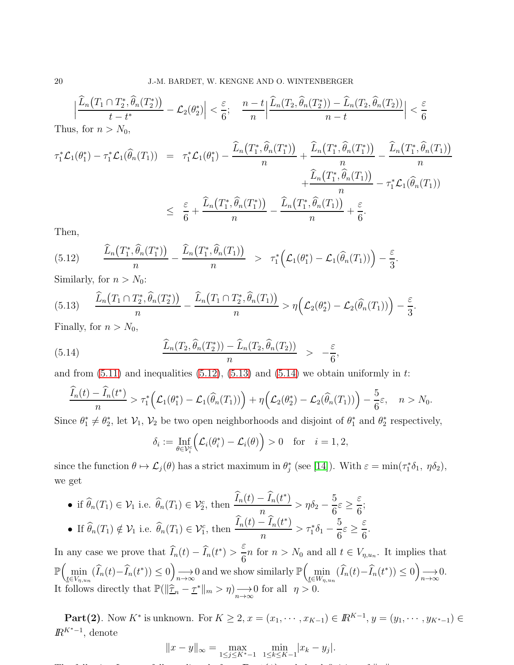$$
\left|\frac{\widehat{L}_n(T_1 \cap T_2^*, \widehat{\theta}_n(T_2^*))}{t - t^*} - \mathcal{L}_2(\theta_2^*)\right| < \frac{\varepsilon}{6}; \quad \frac{n - t}{n} \left|\frac{\widehat{L}_n(T_2, \widehat{\theta}_n(T_2^*)) - \widehat{L}_n(T_2, \widehat{\theta}_n(T_2))}{n - t}\right| < \frac{\varepsilon}{6}
$$

Thus, for  $n > N_0$ ,

$$
\tau_1^* \mathcal{L}_1(\theta_1^*) - \tau_1^* \mathcal{L}_1(\widehat{\theta}_n(T_1)) = \tau_1^* \mathcal{L}_1(\theta_1^*) - \frac{\widehat{L}_n(T_1^*, \widehat{\theta}_n(T_1^*))}{n} + \frac{\widehat{L}_n(T_1^*, \widehat{\theta}_n(T_1^*))}{n} - \frac{\widehat{L}_n(T_1^*, \widehat{\theta}_n(T_1))}{n} - \tau_1^* \mathcal{L}_1(\widehat{\theta}_n(T_1))
$$
\n
$$
\leq \frac{\varepsilon}{6} + \frac{\widehat{L}_n(T_1^*, \widehat{\theta}_n(T_1^*))}{n} - \frac{\widehat{L}_n(T_1^*, \widehat{\theta}_n(T_1))}{n} + \frac{\varepsilon}{6}.
$$

Then,

<span id="page-19-0"></span>(5.12) 
$$
\frac{\widehat{L}_n(T_1^*,\widehat{\theta}_n(T_1^*))}{n} - \frac{\widehat{L}_n(T_1^*,\widehat{\theta}_n(T_1))}{n} > \tau_1^*\Big(\mathcal{L}_1(\theta_1^*) - \mathcal{L}_1(\widehat{\theta}_n(T_1))\Big) - \frac{\varepsilon}{3}.
$$

Similarly, for  $n > N_0$ :

<span id="page-19-1"></span>
$$
(5.13) \qquad \frac{\widehat{L}_n\big(T_1 \cap T_2^*, \widehat{\theta}_n(T_2^*)\big)}{n} - \frac{\widehat{L}_n\big(T_1 \cap T_2^*, \widehat{\theta}_n(T_1)\big)}{n} > \eta\Big(\mathcal{L}_2(\theta_2^*) - \mathcal{L}_2(\widehat{\theta}_n(T_1))\Big) - \frac{\varepsilon}{3}.
$$

Finally, for  $n > N_0$ ,

(5.14) 
$$
\frac{\widehat{L}_n(T_2, \widehat{\theta}_n(T_2^*)) - \widehat{L}_n(T_2, \widehat{\theta}_n(T_2))}{n} > -\frac{\varepsilon}{6},
$$

and from  $(5.11)$  and inequalities  $(5.12)$ ,  $(5.13)$  and  $(5.14)$  we obtain uniformly in t:

$$
\frac{\widehat{I}_n(t) - \widehat{I}_n(t^*)}{n} > \tau_1^*\Big(\mathcal{L}_1(\theta_1^*) - \mathcal{L}_1(\widehat{\theta}_n(T_1))\Big) + \eta\Big(\mathcal{L}_2(\theta_2^*) - \mathcal{L}_2(\widehat{\theta}_n(T_1))\Big) - \frac{5}{6}\varepsilon, \quad n > N_0.
$$

Since  $\theta_1^* \neq \theta_2^*$ , let  $\mathcal{V}_1$ ,  $\mathcal{V}_2$  be two open neighborhoods and disjoint of  $\theta_1^*$  and  $\theta_2^*$  respectively,

<span id="page-19-2"></span>
$$
\delta_i := \inf_{\theta \in \mathcal{V}_i^c} \Bigl( \mathcal{L}_i(\theta_i^*) - \mathcal{L}_i(\theta) \Bigr) > 0 \quad \text{for} \quad i = 1, 2,
$$

since the function  $\theta \mapsto \mathcal{L}_j(\theta)$  has a strict maximum in  $\theta_j^*$  (see [\[14\]](#page-24-6)). With  $\varepsilon = \min(\tau_1^* \delta_1, \eta \delta_2)$ , we get

• if 
$$
\widehat{\theta}_n(T_1) \in \mathcal{V}_1
$$
 i.e.  $\widehat{\theta}_n(T_1) \in \mathcal{V}_2$ , then  $\frac{\widehat{I}_n(t) - \widehat{I}_n(t^*)}{n} > \eta \delta_2 - \frac{5}{6} \varepsilon \ge \frac{\varepsilon}{6}$ ;  
\n• If  $\widehat{\theta}_n(T_1) \notin \mathcal{V}_1$  i.e.  $\widehat{\theta}_n(T_1) \in \mathcal{V}_1^c$ , then  $\frac{\widehat{I}_n(t) - \widehat{I}_n(t^*)}{n} > \tau_1^* \delta_1 - \frac{5}{6} \varepsilon \ge \frac{\varepsilon}{6}$ 

In any case we prove that  $\widehat{I}_n(t) - \widehat{I}_n(t^*)$ ε  $\frac{1}{6}n$  for  $n > N_0$  and all  $t \in V_{n,u_n}$ . It implies that  $\mathbb{P}\left(\min_{\underline{t}\in V_{\eta,u_n}}(\widehat{I}_n(t)-\widehat{I}_n(t^*))\leq 0\right)$  $\longrightarrow 0$  and we show similarly  $\mathbb{P}\left(\min_{\underline{t}\in W_{\eta,u_n}}(\widehat{I}_n(t)-\widehat{I}_n(t^*))\leq 0\right)$  $\longrightarrow 0.$ <br> $n\rightarrow\infty$ It follows directly that  $\mathbb{P}(\|\hat{\mathcal{I}}_n - \underline{\tau}^*\|_m > \eta) \longrightarrow 0$  for all  $\eta > 0$ .

<span id="page-19-3"></span>.

**Part(2)**. Now  $K^*$  is unknown. For  $K \geq 2$ ,  $x = (x_1, \dots, x_{K-1}) \in \mathbb{R}^{K-1}$ ,  $y = (y_1, \dots, y_{K^*-1}) \in \mathbb{R}^{K^*}$  $\mathbb{R}^{K^*-1}$ , denote

$$
||x - y||_{\infty} = \max_{1 \le j \le K^* - 1} \min_{1 \le k \le K - 1} |x_k - y_j|.
$$

The following Lemma follows directly from Part(1) and the definition of k · k :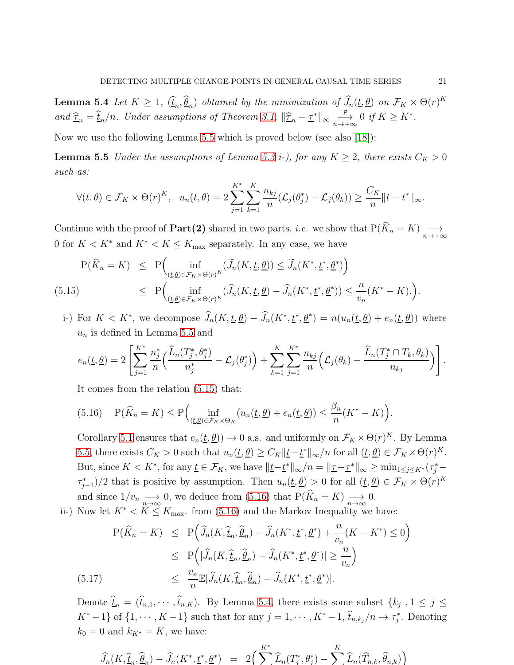**Lemma 5.4** Let  $K \geq 1$ ,  $(\hat{\underline{t}}_n, \hat{\underline{\theta}}_n)$  obtained by the minimization of  $\hat{J}_n(\underline{t}, \underline{\theta})$  on  $\mathcal{F}_K \times \Theta(r)^K$ and  $\hat{\tau}_n = \hat{t}_n/n$ . Under assumptions of Theorem [3.1,](#page-7-4)  $\|\hat{\tau}_n - \tau^*\|_{\infty} \sum_{n \to -\infty}^{\infty}$  $\stackrel{P}{\longrightarrow} 0 \text{ if } K \geq K^*$ .

Now we use the following Lemma [5.5](#page-20-0) which is proved below (see also [\[18\]](#page-24-3)):

**Lemma 5.5** Under the assumptions of Lemma [5.3](#page-13-2) *i*-), for any  $K \geq 2$ , there exists  $C_K > 0$ such as:

<span id="page-20-0"></span>
$$
\forall (\underline{t}, \underline{\theta}) \in \mathcal{F}_K \times \Theta(r)^K, \quad u_n(\underline{t}, \underline{\theta}) = 2 \sum_{j=1}^{K^*} \sum_{k=1}^K \frac{n_{kj}}{n} (\mathcal{L}_j(\theta_j^*) - \mathcal{L}_j(\theta_k)) \geq \frac{C_K}{n} ||\underline{t} - \underline{t}^*||_{\infty}.
$$

Continue with the proof of **Part(2)** shared in two parts, *i.e.* we show that  $P(\widehat{K}_n = K) \longrightarrow_{n \to +\infty} \infty$ 0 for  $K < K^*$  and  $K^* < K \leq K_{\text{max}}$  separately. In any case, we have

<span id="page-20-1"></span>
$$
P(\widehat{K}_n = K) \le P\Big(\inf_{(\underline{t}, \underline{\theta}) \in \mathcal{F}_K \times \Theta(r)^K} (\widetilde{J}_n(K, \underline{t}, \underline{\theta})) \le \widetilde{J}_n(K^*, \underline{t^*}, \underline{\theta^*})\Big) \le P\Big(\inf_{(\underline{t}, \underline{\theta}) \in \mathcal{F}_K \times \Theta(r)^K} (\widehat{J}_n(K, \underline{t}, \underline{\theta}) - \widehat{J}_n(K^*, \underline{t^*}, \underline{\theta^*})) \le \frac{n}{v_n}(K^* - K). \Big).
$$

i-) For  $K < K^*$ , we decompose  $\widehat{J}_n(K, \underline{t}, \underline{\theta}) - \widehat{J}_n(K^*, \underline{t}^*, \underline{\theta}^*) = n(u_n(\underline{t}, \underline{\theta}) + e_n(\underline{t}, \underline{\theta}))$  where  $u_n$  is defined in Lemma [5.5](#page-20-0) and

$$
e_n(\underline{t},\underline{\theta})=2\left[\sum_{j=1}^{K^*}\frac{n_j^*}{n}\left(\frac{\widehat{L}_n(T_j^*,\theta_j^*)}{n_j^*}-\mathcal{L}_j(\theta_j^*)\right)+\sum_{k=1}^{K}\sum_{j=1}^{K^*}\frac{n_{kj}}{n}\left(\mathcal{L}_j(\theta_k)-\frac{\widehat{L}_n(T_j^*\cap T_k,\theta_k)}{n_{kj}}\right)\right].
$$

It comes from the relation [\(5.15\)](#page-20-1) that:

<span id="page-20-2"></span>(5.16) 
$$
P(\widehat{K}_n = K) \le P\left(\inf_{(\underline{t}, \underline{\theta}) \in \mathcal{F}_K \times \Theta_K} (u_n(\underline{t}, \underline{\theta}) + e_n(\underline{t}, \underline{\theta})) \le \frac{\beta_n}{n} (K^* - K)\right).
$$

Corollary [5.1](#page-17-1) ensures that  $e_n(\underline{t}, \underline{\theta})$   $\to 0$  a.s. and uniformly on  $\mathcal{F}_K \times \Theta(r)^K$ . By Lemma [5.5,](#page-20-0) there exists  $C_K > 0$  such that  $u_n(\underline{t}, \underline{\theta}) \ge C_K ||\underline{t} - \underline{t}^*||_{\infty}/n$  for all  $(\underline{t}, \underline{\theta}) \in \mathcal{F}_K \times \Theta(r)^K$ . But, since  $K < K^*$ , for any  $\underline{t} \in \mathcal{F}_K$ , we have  $||\underline{t} - \underline{t}^*||_{\infty}/n = ||\underline{\tau} - \underline{\tau}^*||_{\infty} \ge \min_{1 \le j \le K^*} (\tau_j^* - \tau_j^*)$  $(\tau_{j-1}^*)/2$  that is positive by assumption. Then  $u_n(\underline{t}, \underline{\theta}) > 0$  for all  $(\underline{t}, \underline{\theta}) \in \mathcal{F}_K \times \Theta(r)^K$ and since  $1/v_n \longrightarrow 0$ , we deduce from [\(5.16\)](#page-20-2) that  $P(K_n = K) \longrightarrow 0$ .

ii-) Now let  $K^* < K \leq K_{\text{max}}$ . from [\(5.16\)](#page-20-2) and the Markov Inequality we have:

<span id="page-20-3"></span>
$$
P(\widehat{K}_n = K) \le P\Big(\widehat{J}_n(K, \widehat{\underline{t}}_n, \widehat{\underline{\theta}}_n) - \widehat{J}_n(K^*, \underline{t}^*, \underline{\theta}^*) + \frac{n}{v_n}(K - K^*) \le 0\Big)
$$
  

$$
\le P\Big(|\widehat{J}_n(K, \widehat{\underline{t}}_n, \widehat{\underline{\theta}}_n) - \widehat{J}_n(K^*, \underline{t}^*, \underline{\theta}^*)| \ge \frac{n}{v_n}\Big)
$$
  

$$
\le \frac{v_n}{n} \mathbb{E}|\widehat{J}_n(K, \widehat{\underline{t}}_n, \widehat{\underline{\theta}}_n) - \widehat{J}_n(K^*, \underline{t}^*, \underline{\theta}^*)|.
$$

Denote  $\underline{t}_n = (t_{n,1}, \dots, t_{n,K})$ . By Lemma [5.4,](#page-19-3) there exists some subset  $\{k_j, 1 \leq j \leq n\}$  $K^* - 1$  of  $\{1, \dots, K - 1\}$  such that for any  $j = 1, \dots, K^* - 1$ ,  $\widehat{t}_{n,k_j}/n \to \tau_j^*$ . Denoting  $k_0 = 0$  and  $k_{K^*} = K$ , we have:

$$
\widehat{J}_n(K, \widehat{\underline{t}}_n, \widehat{\underline{\theta}}_n) - \widehat{J}_n(K^*, \underline{t}^*, \underline{\theta}^*) = 2\Big(\sum_{k=1}^{K^*} \widehat{L}_n(T^*_j, \theta^*_j) - \sum_{k=1}^{K} \widehat{L}_n(\widehat{T}_{n,k}, \widehat{\theta}_{n,k})\Big)
$$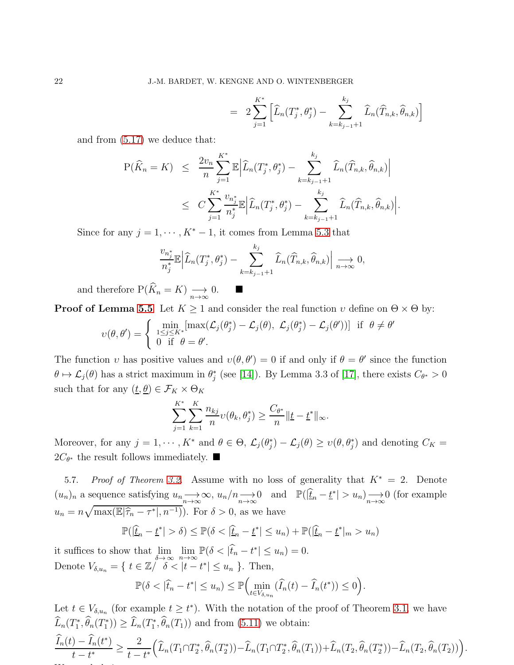$$
= 2\sum_{j=1}^{K^*} \left[ \widehat{L}_n(T_j^*, \theta_j^*) - \sum_{k=k_{j-1}+1}^{k_j} \widehat{L}_n(\widehat{T}_{n,k}, \widehat{\theta}_{n,k}) \right]
$$

and from [\(5.17\)](#page-20-3) we deduce that:

$$
P(\widehat{K}_n = K) \leq \frac{2v_n}{n} \sum_{j=1}^{K^*} \mathbb{E} \Big| \widehat{L}_n(T_j^*, \theta_j^*) - \sum_{k=k_{j-1}+1}^{k_j} \widehat{L}_n(\widehat{T}_{n,k}, \widehat{\theta}_{n,k}) \Big|
$$
  

$$
\leq C \sum_{j=1}^{K^*} \frac{v_{n_j^*}}{n_j^*} \mathbb{E} \Big| \widehat{L}_n(T_j^*, \theta_j^*) - \sum_{k=k_{j-1}+1}^{k_j} \widehat{L}_n(\widehat{T}_{n,k}, \widehat{\theta}_{n,k}) \Big|.
$$

Since for any  $j = 1, \dots, K^* - 1$ , it comes from Lemma [5.3](#page-13-2) that

$$
\frac{v_{n_j^*}}{n_j^*} \mathbb{E} \left| \widehat{L}_n(T_j^*, \theta_j^*) - \sum_{k=k_{j-1}+1}^{k_j} \widehat{L}_n(\widehat{T}_{n,k}, \widehat{\theta}_{n,k}) \right| \xrightarrow[n \to \infty]{} 0,
$$

and therefore  $P(\widehat{K}_n = K) \longrightarrow_{n \to \infty} 0.$ 

**Proof of Lemma [5.5](#page-20-0)** Let  $K \geq 1$  and consider the real function  $v$  define on  $\Theta \times \Theta$  by:

$$
\upsilon(\theta,\theta') = \begin{cases} \min_{1 \leq j \leq K^*} [\max(\mathcal{L}_j(\theta_j^*) - \mathcal{L}_j(\theta), \ \mathcal{L}_j(\theta_j^*) - \mathcal{L}_j(\theta'))] & \text{if } \ \theta \neq \theta' \\ 0 & \text{if } \ \theta = \theta'. \end{cases}
$$

The function v has positive values and  $v(\theta, \theta') = 0$  if and only if  $\theta = \theta'$  since the function  $\theta \mapsto \mathcal{L}_j(\theta)$  has a strict maximum in  $\theta_j^*$  (see [\[14\]](#page-24-6)). By Lemma 3.3 of [\[17\]](#page-24-5), there exists  $C_{\theta^*} > 0$ such that for any  $(\underline{t}, \underline{\theta}) \in \mathcal{F}_K \times \Theta_K$ 

$$
\sum_{j=1}^{K^*} \sum_{k=1}^K \frac{n_{kj}}{n} \upsilon(\theta_k, \theta_j^*) \ge \frac{C_{\theta^*}}{n} \|\underline{t} - \underline{t}^*\|_{\infty}.
$$

Moreover, for any  $j = 1, \dots, K^*$  and  $\theta \in \Theta$ ,  $\mathcal{L}_j(\theta_j^*) - \mathcal{L}_j(\theta) \geq v(\theta, \theta_j^*)$  and denoting  $C_K =$  $2C_{\theta^*}$  the result follows immediately. ■

5.7. *Proof of Theorem [3.2.](#page-7-5)* Assume with no loss of generality that K<sup>∗</sup> = 2. Denote  $(u_n)_n$  a sequence satisfying  $u_n \longrightarrow_{n \to \infty} \infty$ ,  $u_n/n \longrightarrow_{n \to \infty} 0$  and  $\mathbb{P}(|\underline{\hat{t}}_n - \underline{t}^*| > u_n) \longrightarrow_{n \to \infty} 0$  (for example  $u_n = n\sqrt{\max(\mathbb{E}|\hat{\tau}_n - \tau^*|, n^{-1})})$ . For  $\delta > 0$ , as we have

$$
\mathbb{P}(|\hat{\underline{t}}_n - \underline{t}^*| > \delta) \le \mathbb{P}(\delta < |\hat{\underline{t}}_n - \underline{t}^*| \le u_n) + \mathbb{P}(|\hat{\underline{t}}_n - \underline{t}^*|_m > u_n)
$$

it suffices to show that  $\lim_{\delta \to \infty} \lim_{n \to \infty} \mathbb{P}(\delta < |\hat{t}_n - t^*| \le u_n) = 0.$ Denote  $V_{\delta, u_n} = \{ t \in \mathbb{Z} \mid \delta < |t - t^*| \leq u_n \}$ . Then,

we conclude in two steps: we conclude its steps: we conclude the steps: we conclude the steps: we conclude the

$$
\mathbb{P}(\delta < |\widehat{t}_n - t^*| \le u_n) \le \mathbb{P}\Big(\min_{t \in V_{\delta, u_n}} (\widehat{I}_n(t) - \widehat{I}_n(t^*)) \le 0\Big).
$$

Let  $t \in V_{\delta, u_n}$  (for example  $t \geq t^*$ ). With the notation of the proof of Theorem [3.1,](#page-7-4) we have  $\widehat{L}_n(T_1^*, \widehat{\theta}_n(T_1^*)) \geq \widehat{L}_n(T_1^*, \widehat{\theta}_n(T_1))$  and from [\(5.11\)](#page-18-0) we obtain:  $\widehat{I}_n(t) - \widehat{I}_n(t^*)$  $\frac{1}{t-t^*} \geq$ 2  $t-t^*$  $\left(\widehat{L}_n(T_1 \cap T_2^*)\right)$  $\widehat{\theta}_n(T_2^*,\widehat{\theta}_n)$  $\binom{n^*}{2}$ ) –  $\widehat{L}_n(T_1 \cap T_2^*)$  $\widehat{\theta}_n(T_1)) + \widehat{L}_n(T_2, \widehat{\theta}_n(T_2^*)$  $(\Gamma_2^*)$ ) –  $\widehat{L}_n(T_2, \widehat{\theta}_n(T_2))$ .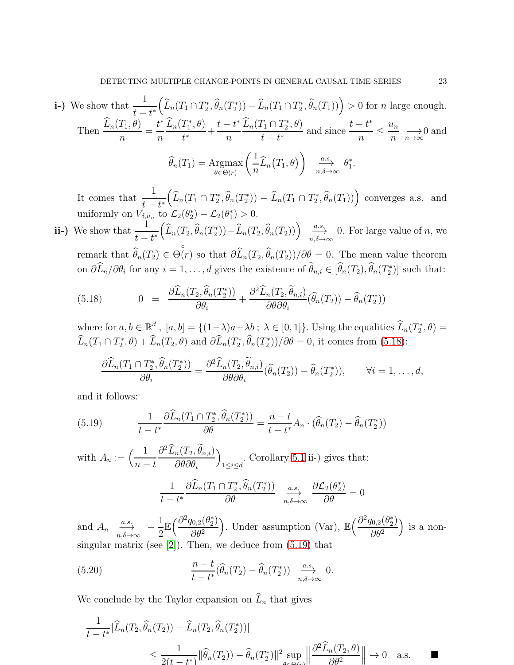i-) We show that 
$$
\frac{1}{t-t^*} \left( \widehat{L}_n(T_1 \cap T_2^*, \widehat{\theta}_n(T_2^*)) - \widehat{L}_n(T_1 \cap T_2^*, \widehat{\theta}_n(T_1)) \right) > 0 \text{ for } n \text{ large enough.}
$$
  
Then 
$$
\frac{\widehat{L}_n(T_1, \theta)}{n} = \frac{t^*}{n} \frac{\widehat{L}_n(T_1^*, \theta)}{t^*} + \frac{t-t^*}{n} \frac{\widehat{L}_n(T_1 \cap T_2^*, \theta)}{t-t^*} \text{ and since } \frac{t-t^*}{n} \leq \frac{u_n}{n} \longrightarrow 0 \text{ and }
$$

$$
\widehat{\theta}_n(T_1) = \underset{\theta \in \Theta(r)}{\operatorname{Argmax}} \left( \frac{1}{n} \widehat{L}_n(T_1, \theta) \right) \xrightarrow[n, \delta \to \infty]{a.s.} \theta_1^*.
$$

It comes that  $\frac{1}{t-t^*}$  $t - t$  $\left(\widehat{L}_n(T_1 \cap T_2^*, \widehat{\theta}_n(T_2^*)) - \widehat{L}_n(T_1 \cap T_2^*, \widehat{\theta}_n(T_1))\right)$  converges a.s. and uniformly on  $V_{\delta, u_n}$  to  $\mathcal{L}_2(\theta_2^*) - \mathcal{L}_2(\theta_1^*) > 0$ .

ii-) We show that  $\frac{1}{1}$  $t-t^*$  $\left(\widehat{L}_n(T_2, \widehat{\theta}_n(T_2^*)) - \widehat{L}_n(T_2, \widehat{\theta}_n(T_2))\right) \xrightarrow[n,\delta \to \infty]{a.s.} 0.$  For large value of n, we remark that  $\theta_n(T_2) \in$ ◦  $\Theta(r)$  so that  $\partial L_n(T_2, \theta_n(T_2))/\partial \theta = 0$ . The mean value theorem on  $\partial \widehat{L}_n/\partial \theta_i$  for any  $i = 1, \ldots, d$  gives the existence of  $\widehat{\theta}_{n,i} \in [\widehat{\theta}_n(T_2), \widehat{\theta}_n(T_2^*)]$  such that:

<span id="page-22-0"></span>(5.18) 
$$
0 = \frac{\partial \widehat{L}_n(T_2, \widehat{\theta}_n(T_2^*))}{\partial \theta_i} + \frac{\partial^2 \widehat{L}_n(T_2, \widetilde{\theta}_{n,i})}{\partial \theta \partial \theta_i} (\widehat{\theta}_n(T_2)) - \widehat{\theta}_n(T_2^*))
$$

where for  $a, b \in \mathbb{R}^d$ ,  $[a, b] = \{(1-\lambda)a + \lambda b \, ; \, \lambda \in [0, 1]\}$ . Using the equalities  $\widehat{L}_n(T_2^*, \theta) =$  $\widehat{L}_n(T_1 \cap T_2^*, \theta) + \widehat{L}_n(T_2, \theta)$  and  $\partial \widehat{L}_n(T_2^*, \widehat{\theta}_n(T_2^*))/\partial \theta = 0$ , it comes from [\(5.18\)](#page-22-0):

$$
\frac{\partial \widehat{L}_n(T_1 \cap T_2^*, \widehat{\theta}_n(T_2^*))}{\partial \theta_i} = \frac{\partial^2 \widehat{L}_n(T_2, \widetilde{\theta}_{n,i})}{\partial \theta \partial \theta_i} (\widehat{\theta}_n(T_2)) - \widehat{\theta}_n(T_2^*)), \qquad \forall i = 1, ..., d,
$$

and it follows:

<span id="page-22-1"></span>(5.19) 
$$
\frac{1}{t-t^*} \frac{\partial \widehat{L}_n(T_1 \cap T_2^*, \widehat{\theta}_n(T_2^*))}{\partial \theta} = \frac{n-t}{t-t^*} A_n \cdot (\widehat{\theta}_n(T_2) - \widehat{\theta}_n(T_2^*))
$$

with  $A_n := \left(\frac{1}{n}\right)$  $n - t$  $\partial^2 \widehat{L}_n(T_2, \theta_{n,i})$  $\partial \theta \partial \theta_i$  $\overline{ }$ . Corollary [5.1](#page-17-1) ii-) gives that:<br> $\frac{1 \leq i \leq d}{1 \leq i \leq d}$ 

<span id="page-22-2"></span>
$$
\frac{1}{t-t^*} \frac{\partial \widehat{L}_n(T_1 \cap T_2^*, \widehat{\theta}_n(T_2^*))}{\partial \theta} \xrightarrow[n,\delta \to \infty]{a.s.} \frac{\partial \mathcal{L}_2(\theta_2^*)}{\partial \theta} = 0
$$

and  $A_n \xrightarrow[n,\delta \to \infty]{} -$ 1 2  $\mathbb{E}\left(\frac{\partial^2 q_{0,2}(\theta_2^*)}{\partial q_{0,2}(\theta_2^*)}\right)$  $\partial\theta^2$ ). Under assumption (Var),  $\mathbb{E}\left(\frac{\partial^2 q_{0,2}(\theta_2^*)}{\partial \theta_2^2}\right)$  $\partial\theta^2$  is a nonsingular matrix (see [\[2\]](#page-23-2)). Then, we deduce from [\(5.19\)](#page-22-1) that

(5.20) 
$$
\frac{n-t}{t-t^*}(\widehat{\theta}_n(T_2)-\widehat{\theta}_n(T_2^*)) \xrightarrow[n,\delta\to\infty]{} 0.
$$

We conclude by the Taylor expansion on  $\widehat{L}_n$  that gives

$$
\frac{1}{t - t^*} |\widehat{L}_n(T_2, \widehat{\theta}_n(T_2)) - \widehat{L}_n(T_2, \widehat{\theta}_n(T_2^*))|
$$
\n
$$
\leq \frac{1}{2(t - t^*)} ||\widehat{\theta}_n(T_2)) - \widehat{\theta}_n(T_2^*)||^2 \sup_{\theta \in \Theta(x)} \left\| \frac{\partial^2 \widehat{L}_n(T_2, \theta)}{\partial \theta^2} \right\| \to 0 \quad \text{a.s.} \qquad \blacksquare
$$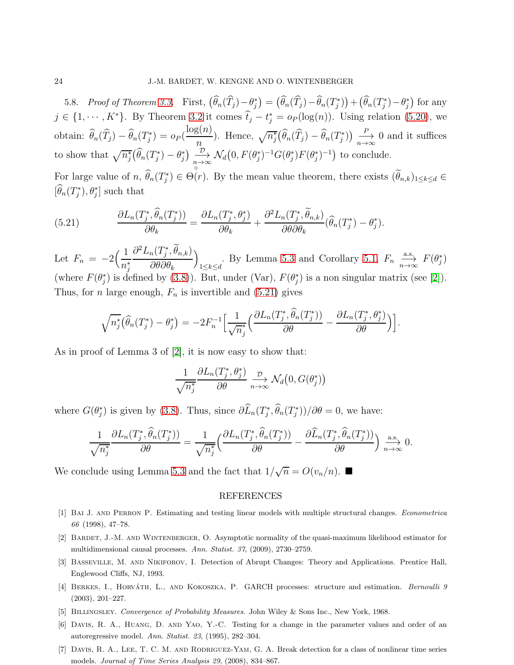5.8. *Proof of Theorem [3.3.](#page-7-1)* First,  $(\widehat{\theta}_n(\widehat{T}_j)-\theta_j^*) = (\widehat{\theta}_n(\widehat{T}_j)-\widehat{\theta}_n(T_j^*))+(\widehat{\theta}_n(T_j^*)-\theta_j^*)$  for any  $j \in \{1, \dots, K^*\}$ . By Theorem [3.2](#page-7-5) it comes  $\hat{t}_j - t_j^* = o_P(\log(n))$ . Using relation [\(5.20\)](#page-22-2), we obtain:  $\hat{\theta}_n(\hat{T}_j) - \hat{\theta}_n(T_j^*) = o_P(\hat{\theta}_n)$  $log(n)$  $\overline{n}$ ). Hence,  $\sqrt{n_j^*}(\widehat{\theta}_n(\widehat{T}_j) - \widehat{\theta}_n(T_j^*)) \xrightarrow[n \to \infty]{P} 0$  and it suffices to show that  $\sqrt{n_j^*}(\widehat{\theta}_n(T_j^*) - \theta_j^*) \xrightarrow[n \to \infty]{\mathcal{D}} \mathcal{N}_d(0, F(\theta_j^*)^{-1}G(\theta_j^*)F(\theta_j^*)^{-1})$  to conclude. For large value of  $n, \hat{\theta}_n(T_j^*) \in$ ◦  $\Theta(r)$ . By the mean value theorem, there exists  $(\theta_{n,k})_{1\leq k\leq d} \in$  $[\hat{\theta}_n(T_j^*), \theta_j^*]$  such that

<span id="page-23-6"></span>(5.21) 
$$
\frac{\partial L_n(T_j^*, \widehat{\theta}_n(T_j^*))}{\partial \theta_k} = \frac{\partial L_n(T_j^*, \theta_j^*)}{\partial \theta_k} + \frac{\partial^2 L_n(T_j^*, \widetilde{\theta}_{n,k})}{\partial \theta \partial \theta_k} (\widehat{\theta}_n(T_j^*) - \theta_j^*).
$$

Let  $F_n = -2$  $(1)$  $n_j^*$  $\partial^2 L_n(T_j^*, \theta_{n,k})$  $\partial \theta \partial \theta_k$  $\overline{ }$ 1≤k≤d By Lemma [5.3](#page-13-2) and Corollary [5.1,](#page-17-1)  $F_n \xrightarrow[n \to \infty]{a.s.} F(\theta_j^*)$ (where  $F(\theta_j^*)$  is defined by [\(3.8\)](#page-7-6)). But, under (Var),  $F(\theta_j^*)$  is a non singular matrix (see [\[2\]](#page-23-2)). Thus, for *n* large enough,  $F_n$  is invertible and [\(5.21\)](#page-23-6) gives

$$
\sqrt{n_j^*}(\widehat{\theta}_n(T_j^*) - \theta_j^*) = -2F_n^{-1}\Big[\frac{1}{\sqrt{n_j^*}}\Big(\frac{\partial L_n(T_j^*, \widehat{\theta}_n(T_j^*))}{\partial \theta} - \frac{\partial L_n(T_j^*, \theta_j^*)}{\partial \theta}\Big)\Big].
$$

As in proof of Lemma 3 of [\[2\]](#page-23-2), it is now easy to show that:

$$
\frac{1}{\sqrt{n_j^*}} \frac{\partial L_n(T_j^*, \theta_j^*)}{\partial \theta} \xrightarrow[n \to \infty]{\mathcal{D}} \mathcal{N}_d\big(0, G(\theta_j^*)\big)
$$

where  $G(\theta_j^*)$  is given by [\(3.8\)](#page-7-6). Thus, since  $\partial \widehat{L}_n(T_j^*, \widehat{\theta}_n(T_j^*))/\partial \theta = 0$ , we have:

$$
\frac{1}{\sqrt{n_j^*}}\frac{\partial L_n(T_j^*,\widehat{\theta}_n(T_j^*))}{\partial \theta} = \frac{1}{\sqrt{n_j^*}}\left(\frac{\partial L_n(T_j^*,\widehat{\theta}_n(T_j^*))}{\partial \theta} - \frac{\partial \widehat{L}_n(T_j^*,\widehat{\theta}_n(T_j^*))}{\partial \theta}\right) \xrightarrow[n \to \infty]{\text{a.s.}} 0.
$$

We conclude using Lemma [5.3](#page-13-2) and the fact that  $1/\sqrt{n} = O(v_n/n)$ .

#### REFERENCES

- <span id="page-23-2"></span><span id="page-23-1"></span>[1] Bai J. and Perron P. Estimating and testing linear models with multiple structural changes. *Econometrica 66* (1998), 47–78.
- <span id="page-23-0"></span>[2] Bardet, J.-M. and Wintenberger, O. Asymptotic normality of the quasi-maximum likelihood estimator for multidimensional causal processes. *Ann. Statist. 37*, (2009), 2730–2759.
- <span id="page-23-5"></span>[3] Basseville, M. and Nikiforov, I. Detection of Abrupt Changes: Theory and Applications. Prentice Hall, Englewood Cliffs, NJ, 1993.
- [4] BERKES, I., HORVATH, L., AND KOKOSZKA, P. GARCH processes: structure and estimation. *Bernoulli 9* (2003), 201–227.
- <span id="page-23-3"></span>[5] Billingsley. *Convergence of Probability Measures*. John Wiley & Sons Inc., New York, 1968.
- <span id="page-23-4"></span>[6] Davis, R. A., Huang, D. and Yao, Y.-C. Testing for a change in the parameter values and order of an autoregressive model. *Ann. Statist. 23*, (1995), 282–304.
- [7] Davis, R. A., Lee, T. C. M. and Rodriguez-Yam, G. A. Break detection for a class of nonlinear time series models. *Journal of Time Series Analysis 29*, (2008), 834–867.